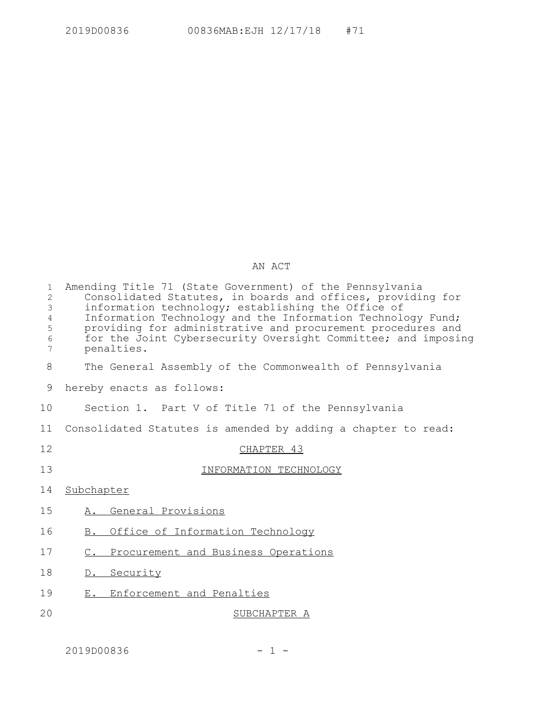## AN ACT

| $\mathbf 1$<br>$\overline{2}$<br>3<br>$\overline{4}$<br>5<br>6<br>7 | Amending Title 71 (State Government) of the Pennsylvania<br>Consolidated Statutes, in boards and offices, providing for<br>information technology; establishing the Office of<br>Information Technology and the Information Technology Fund;<br>providing for administrative and procurement procedures and<br>for the Joint Cybersecurity Oversight Committee; and imposing<br>penalties. |
|---------------------------------------------------------------------|--------------------------------------------------------------------------------------------------------------------------------------------------------------------------------------------------------------------------------------------------------------------------------------------------------------------------------------------------------------------------------------------|
| 8                                                                   | The General Assembly of the Commonwealth of Pennsylvania                                                                                                                                                                                                                                                                                                                                   |
| 9                                                                   | hereby enacts as follows:                                                                                                                                                                                                                                                                                                                                                                  |
| 10                                                                  | Section 1. Part V of Title 71 of the Pennsylvania                                                                                                                                                                                                                                                                                                                                          |
| 11                                                                  | Consolidated Statutes is amended by adding a chapter to read:                                                                                                                                                                                                                                                                                                                              |
| 12                                                                  | CHAPTER 43                                                                                                                                                                                                                                                                                                                                                                                 |
| 13                                                                  | INFORMATION TECHNOLOGY                                                                                                                                                                                                                                                                                                                                                                     |
| 14                                                                  | Subchapter                                                                                                                                                                                                                                                                                                                                                                                 |
| 15                                                                  | A. General Provisions                                                                                                                                                                                                                                                                                                                                                                      |
| 16                                                                  | Office of Information Technology<br>B.                                                                                                                                                                                                                                                                                                                                                     |
| 17                                                                  | C. Procurement and Business Operations                                                                                                                                                                                                                                                                                                                                                     |
| 18                                                                  | D. Security                                                                                                                                                                                                                                                                                                                                                                                |
| 19                                                                  | E. Enforcement and Penalties                                                                                                                                                                                                                                                                                                                                                               |
| 20                                                                  | SUBCHAPTER A                                                                                                                                                                                                                                                                                                                                                                               |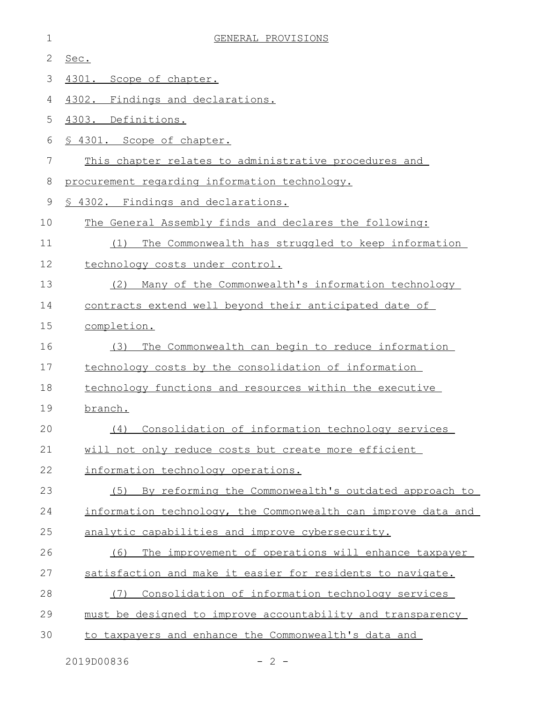| 1  | GENERAL PROVISIONS                                            |
|----|---------------------------------------------------------------|
| 2  | Sec.                                                          |
| 3  | 4301. Scope of chapter.                                       |
| 4  | 4302. Findings and declarations.                              |
| 5  | 4303. Definitions.                                            |
| 6  | § 4301. Scope of chapter.                                     |
| 7  | This chapter relates to administrative procedures and         |
| 8  | procurement regarding information technology.                 |
| 9  | 4302. Findings and declarations.                              |
| 10 | The General Assembly finds and declares the following:        |
| 11 | The Commonwealth has struggled to keep information<br>(1)     |
| 12 | technology costs under control.                               |
| 13 | Many of the Commonwealth's information technology<br>(2)      |
| 14 | contracts extend well beyond their anticipated date of        |
| 15 | completion.                                                   |
| 16 | The Commonwealth can begin to reduce information<br>(3)       |
| 17 | technology costs by the consolidation of information          |
| 18 | technology functions and resources within the executive       |
| 19 | branch.                                                       |
| 20 | (4) Consolidation of information technology services          |
| 21 | will not only reduce costs but create more efficient          |
| 22 | information technology operations.                            |
| 23 | (5)<br>By reforming the Commonwealth's outdated approach to   |
| 24 | information technology, the Commonwealth can improve data and |
| 25 | analytic capabilities and improve cybersecurity.              |
| 26 | The improvement of operations will enhance taxpayer<br>(6)    |
| 27 | satisfaction and make it easier for residents to navigate.    |
| 28 | Consolidation of information technology services<br>(7)       |
| 29 | must be designed to improve accountability and transparency   |
| 30 | to taxpayers and enhance the Commonwealth's data and          |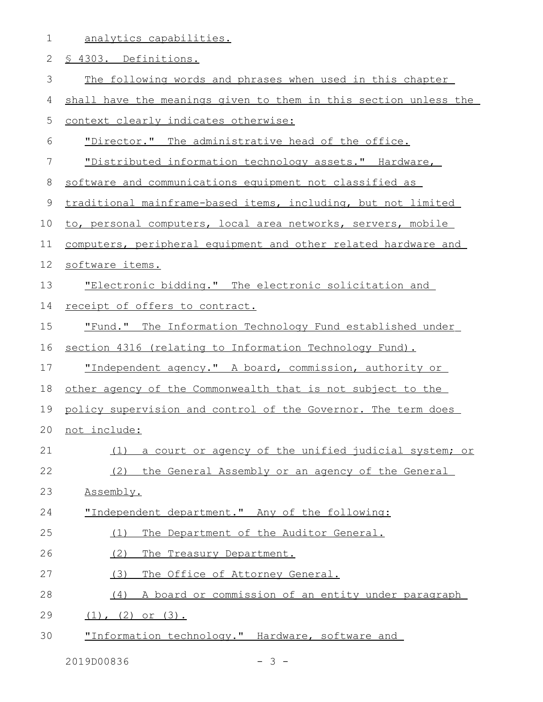|  | analytics capabilities. |  |
|--|-------------------------|--|
|  |                         |  |

| 2           | § 4303. Definitions.                                             |
|-------------|------------------------------------------------------------------|
| 3           | The following words and phrases when used in this chapter        |
| 4           | shall have the meanings given to them in this section unless the |
| 5           | context clearly indicates otherwise:                             |
| 6           | "Director." The administrative head of the office.               |
| 7           | "Distributed information technology assets." Hardware,           |
| 8           | software and communications equipment not classified as          |
| $\mathsf 9$ | traditional mainframe-based items, including, but not limited    |
| 10          | to, personal computers, local area networks, servers, mobile     |
| 11          | computers, peripheral equipment and other related hardware and   |
| 12          | software items.                                                  |
| 13          | "Electronic bidding." The electronic solicitation and            |
| 14          | receipt of offers to contract.                                   |
| 15          | <u>"Fund." The Information Technology Fund established under</u> |
| 16          | section 4316 (relating to Information Technology Fund).          |
| 17          | "Independent agency." A board, commission, authority or          |
| 18          | other agency of the Commonwealth that is not subject to the      |
| 19          | policy supervision and control of the Governor. The term does    |
| 20          | not include:                                                     |
| 21          | a court or agency of the unified judicial system; or<br>(1)      |
| 22          | (2) the General Assembly or an agency of the General             |
| 23          | Assembly.                                                        |
| 24          | "Independent department." Any of the following:                  |
| 25          | The Department of the Auditor General.<br>(1)                    |
| 26          | (2)<br>The Treasury Department.                                  |
| 27          | (3)<br>The Office of Attorney General.                           |
| 28          | A board or commission of an entity under paragraph<br>(4)        |
| 29          | $(1)$ , $(2)$ or $(3)$ .                                         |
| 30          | "Information technology." Hardware, software and                 |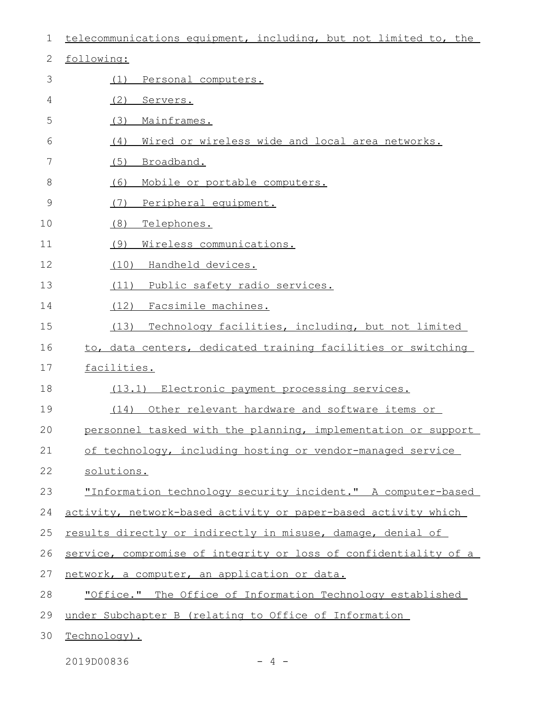| $\mathbf 1$  | telecommunications equipment, including, but not limited to, the |
|--------------|------------------------------------------------------------------|
| $\mathbf{2}$ | following:                                                       |
| 3            | Personal computers.<br>(1)                                       |
| 4            | (2)<br>Servers.                                                  |
| 5            | (3)<br>Mainframes.                                               |
| 6            | (4)<br>Wired or wireless wide and local area networks.           |
| 7            | (5)<br>Broadband.                                                |
| 8            | (6)<br>Mobile or portable computers.                             |
| $\mathsf 9$  | (7)<br>Peripheral equipment.                                     |
| 10           | (8)<br>Telephones.                                               |
| 11           | (9)<br>Wireless communications.                                  |
| 12           | (10) Handheld devices.                                           |
| 13           | Public safety radio services.<br>(11)                            |
| 14           | (12) Facsimile machines.                                         |
| 15           | Technology facilities, including, but not limited<br>(13)        |
| 16           | to, data centers, dedicated training facilities or switching     |
| 17           | facilities.                                                      |
| 18           | (13.1) Electronic payment processing services.                   |
| 19           | (14)<br>Other relevant hardware and software items or            |
| 20           | personnel tasked with the planning, implementation or support    |
| 21           | of technology, including hosting or vendor-managed service       |
| 22           | solutions.                                                       |
| 23           | "Information technology security incident." A computer-based     |
| 24           | activity, network-based activity or paper-based activity which   |
| 25           | results directly or indirectly in misuse, damage, denial of      |
| 26           | service, compromise of integrity or loss of confidentiality of a |
| 27           | network, a computer, an application or data.                     |
| 28           | "Office." The Office of Information Technology established       |
| 29           | under Subchapter B (relating to Office of Information            |
| 30           | Technology).                                                     |

2019D00836 - 4 -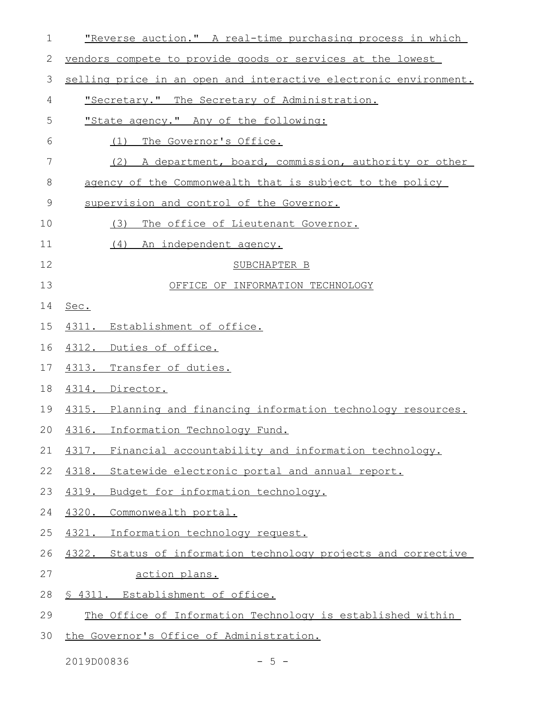| $\mathbf 1$ | "Reverse auction." A real-time purchasing process in which       |
|-------------|------------------------------------------------------------------|
| 2           | vendors compete to provide goods or services at the lowest       |
| 3           | selling price in an open and interactive electronic environment. |
| 4           | "Secretary." The Secretary of Administration.                    |
| 5           | "State agency." Any of the following:                            |
| 6           | The Governor's Office.<br>(1)                                    |
| 7           | (2) A department, board, commission, authority or other          |
| 8           | agency of the Commonwealth that is subject to the policy         |
| $\mathsf 9$ | supervision and control of the Governor.                         |
| 10          | (3)<br>The office of Lieutenant Governor.                        |
| 11          | (4) An independent agency.                                       |
| 12          | SUBCHAPTER B                                                     |
| 13          | OFFICE OF INFORMATION TECHNOLOGY                                 |
| 14          | Sec.                                                             |
| 15          | 4311. Establishment of office.                                   |
| 16          | 4312. Duties of office.                                          |
| 17          | 4313. Transfer of duties.                                        |
| 18          | 4314. Director.                                                  |
| 19          | 4315. Planning and financing information technology resources.   |
| 20          | 4316. Information Technology Fund.                               |
| 21          | 4317. Financial accountability and information technology.       |
| 22          | 4318. Statewide electronic portal and annual report.             |
| 23          | 4319.<br>Budget for information technology.                      |
| 24          | 4320.<br>Commonwealth portal.                                    |
| 25          | 4321. Information technology request.                            |
| 26          | 4322. Status of information technology projects and corrective   |
| 27          | <u>action plans.</u>                                             |
| 28          | <u>S 4311. Establishment of office.</u>                          |
| 29          | The Office of Information Technology is established within       |
| 30          | the Governor's Office of Administration.                         |

 $2019D00836$  - 5 -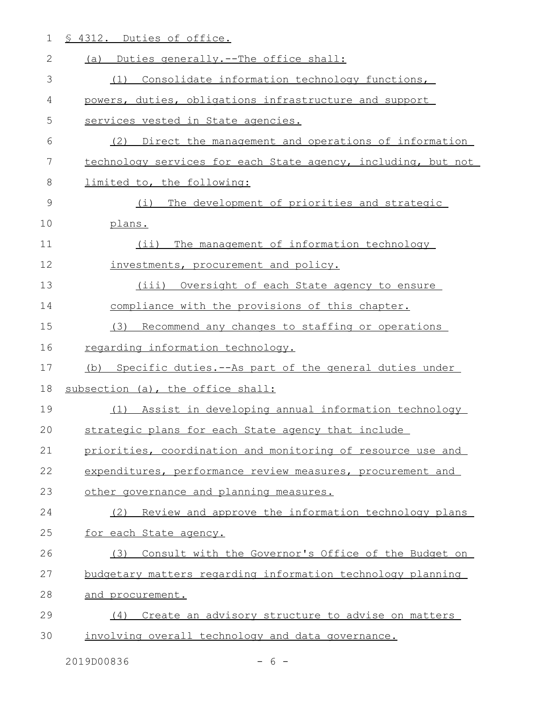1 § 4312. Duties of office.

| 2  | (a) Duties generally.--The office shall:                      |
|----|---------------------------------------------------------------|
| 3  | (1) Consolidate information technology functions,             |
| 4  | powers, duties, obligations infrastructure and support        |
| 5  | services vested in State agencies.                            |
| 6  | (2) Direct the management and operations of information       |
| 7  | technology services for each State agency, including, but not |
| 8  | limited to, the following:                                    |
| 9  | The development of priorities and strategic<br>(i)            |
| 10 | plans.                                                        |
| 11 | (ii) The management of information technology                 |
| 12 | investments, procurement and policy.                          |
| 13 | (iii) Oversight of each State agency to ensure                |
| 14 | compliance with the provisions of this chapter.               |
| 15 | (3) Recommend any changes to staffing or operations           |
| 16 | regarding information technology.                             |
| 17 | Specific duties.--As part of the general duties under<br>(b)  |
| 18 | subsection (a), the office shall:                             |
| 19 | Assist in developing annual information technology<br>(1)     |
| 20 | strategic plans for each State agency that include            |
| 21 | priorities, coordination and monitoring of resource use and   |
| 22 | expenditures, performance review measures, procurement and    |
| 23 | other governance and planning measures.                       |
| 24 | Review and approve the information technology plans<br>(2)    |
| 25 | for each State agency.                                        |
| 26 | Consult with the Governor's Office of the Budget on<br>(3)    |
| 27 | budgetary matters regarding information technology planning   |
| 28 | and procurement.                                              |
| 29 | Create an advisory structure to advise on matters<br>(4)      |
| 30 | involving overall technology and data governance.             |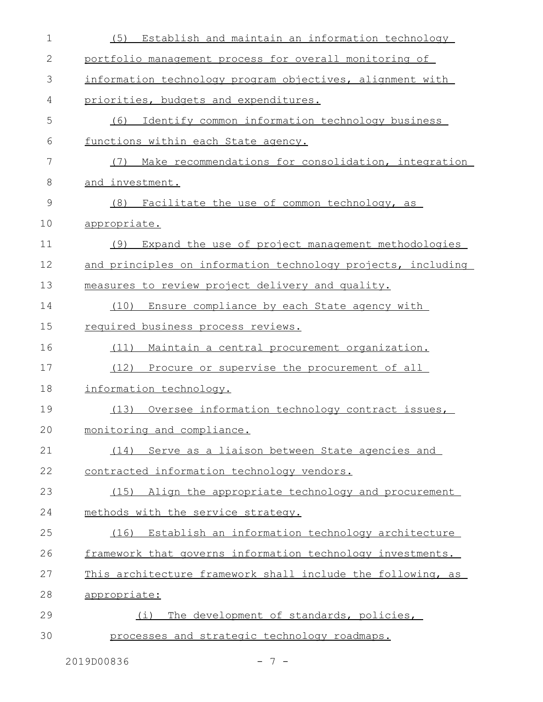| 1            | (5) Establish and maintain an information technology         |
|--------------|--------------------------------------------------------------|
| $\mathbf{2}$ | portfolio management process for overall monitoring of       |
| 3            | information technology program objectives, alignment with    |
| 4            | priorities, budgets and expenditures.                        |
| 5            | (6) Identify common information technology business          |
| 6            | functions within each State agency.                          |
| 7            | Make recommendations for consolidation, integration<br>(7)   |
| 8            | and investment.                                              |
| 9            | (8)<br>Facilitate the use of common technology, as           |
| 10           | appropriate.                                                 |
| 11           | (9)<br>Expand the use of project management methodologies    |
| 12           | and principles on information technology projects, including |
| 13           | measures to review project delivery and quality.             |
| 14           | (10) Ensure compliance by each State agency with             |
| 15           | required business process reviews.                           |
| 16           | (11)<br>Maintain a central procurement organization.         |
| 17           | (12) Procure or supervise the procurement of all             |
| 18           | information technology.                                      |
| 19           | (13)<br>Oversee information technology contract issues,      |
| 20           | monitoring and compliance.                                   |
| 21           | (14) Serve as a liaison between State agencies and           |
| 22           | contracted information technology vendors.                   |
| 23           | (15) Align the appropriate technology and procurement        |
| 24           | methods with the service strategy.                           |
| 25           | (16) Establish an information technology architecture        |
| 26           | framework that governs information technology investments.   |
| 27           | This architecture framework shall include the following, as  |
| 28           | appropriate:                                                 |
| 29           | (i) The development of standards, policies,                  |
| 30           | processes and strategic technology roadmaps.                 |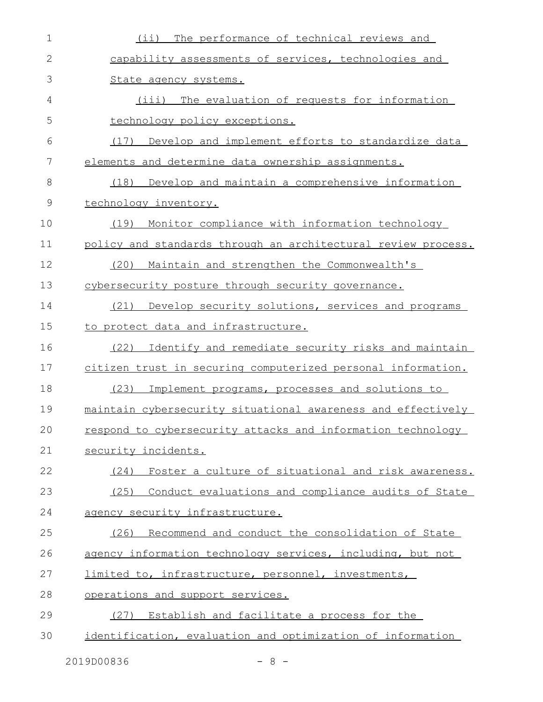| $\mathbf 1$  | (ii) The performance of technical reviews and                 |
|--------------|---------------------------------------------------------------|
| $\mathbf{2}$ | capability assessments of services, technologies and          |
| 3            | State agency systems.                                         |
| 4            | (iii) The evaluation of requests for information              |
| 5            | technology policy exceptions.                                 |
| 6            | Develop and implement efforts to standardize data<br>(17)     |
| 7            | elements and determine data ownership assignments.            |
| 8            | (18) Develop and maintain a comprehensive information         |
| 9            | technology inventory.                                         |
| 10           | Monitor compliance with information technology<br>(19)        |
| 11           | policy and standards through an architectural review process. |
| 12           | Maintain and strengthen the Commonwealth's<br>(20)            |
| 13           | cybersecurity posture through security governance.            |
| 14           | Develop security solutions, services and programs<br>(21)     |
| 15           | to protect data and infrastructure.                           |
| 16           | (22)<br>Identify and remediate security risks and maintain    |
| 17           | citizen trust in securing computerized personal information.  |
| 18           | (23)<br>Implement programs, processes and solutions to        |
| 19           | maintain cybersecurity situational awareness and effectively  |
| 20           | respond to cybersecurity attacks and information technology   |
| 21           | security incidents.                                           |
| 22           | (24) Foster a culture of situational and risk awareness.      |
| 23           | (25) Conduct evaluations and compliance audits of State       |
| 24           | agency security infrastructure.                               |
| 25           | (26) Recommend and conduct the consolidation of State         |
| 26           | agency information technology services, including, but not    |
| 27           | limited to, infrastructure, personnel, investments,           |
| 28           | operations and support services.                              |
| 29           | (27) Establish and facilitate a process for the               |
| 30           | identification, evaluation and optimization of information    |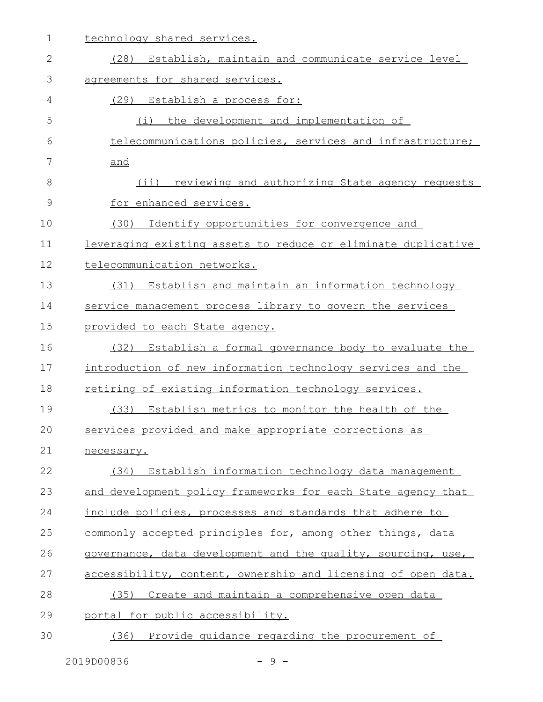| 1  | technology shared services.                                   |
|----|---------------------------------------------------------------|
| 2  | (28) Establish, maintain and communicate service level        |
| 3  | agreements for shared services.                               |
| 4  | (29)<br>Establish a process for:                              |
| 5  | (i) the development and implementation of                     |
| 6  | telecommunications policies, services and infrastructure;     |
| 7  | and                                                           |
| 8  | (ii) reviewing and authorizing State agency requests          |
| 9  | for enhanced services.                                        |
| 10 | Identify opportunities for convergence and<br>(30)            |
| 11 | leveraging existing assets to reduce or eliminate duplicative |
| 12 | telecommunication networks.                                   |
| 13 | (31) Establish and maintain an information technology         |
| 14 | service management process library to govern the services     |
| 15 | provided to each State agency.                                |
| 16 | (32)<br>Establish a formal governance body to evaluate the    |
| 17 | introduction of new information technology services and the   |
| 18 | retiring of existing information technology services.         |
| 19 | (33) Establish metrics to monitor the health of the           |
| 20 | services provided and make appropriate corrections as         |
| 21 | necessary.                                                    |
| 22 | (34) Establish information technology data management         |
| 23 | and development policy frameworks for each State agency that  |
| 24 | include policies, processes and standards that adhere to      |
| 25 | commonly accepted principles for, among other things, data    |
| 26 | governance, data development and the quality, sourcing, use,  |
| 27 | accessibility, content, ownership and licensing of open data. |
| 28 | (35) Create and maintain a comprehensive open data            |
| 29 | portal for public accessibility.                              |
| 30 | Provide quidance regarding the procurement of<br>(36)         |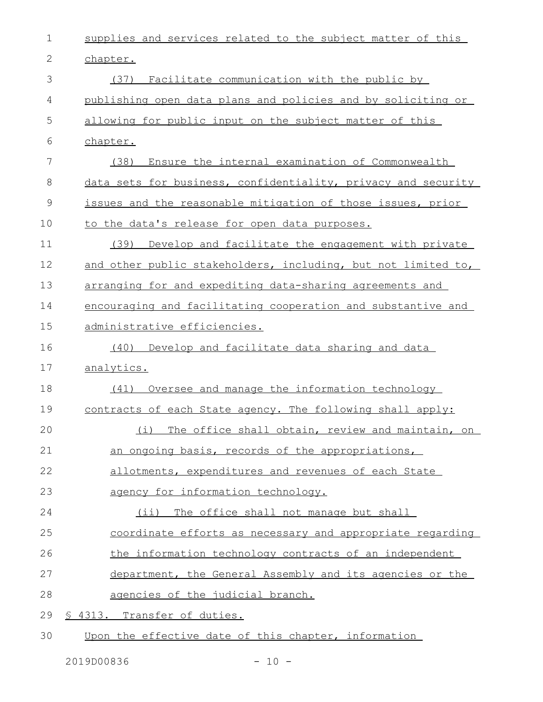| $\mathbf 1$  | supplies and services related to the subject matter of this   |
|--------------|---------------------------------------------------------------|
| $\mathbf{2}$ | chapter.                                                      |
| 3            | (37) Facilitate communication with the public by              |
| 4            | publishing open data plans and policies and by soliciting or  |
| 5            | allowing for public input on the subject matter of this       |
| 6            | chapter.                                                      |
| 7            | (38)<br>Ensure the internal examination of Commonwealth       |
| 8            | data sets for business, confidentiality, privacy and security |
| 9            | issues and the reasonable mitigation of those issues, prior   |
| 10           | to the data's release for open data purposes.                 |
| 11           | (39)<br>Develop and facilitate the engagement with private    |
| 12           | and other public stakeholders, including, but not limited to, |
| 13           | arranging for and expediting data-sharing agreements and      |
| 14           | encouraging and facilitating cooperation and substantive and  |
| 15           | administrative efficiencies.                                  |
| 16           | Develop and facilitate data sharing and data<br>(40)          |
| 17           | analytics.                                                    |
| 18           | Oversee and manage the information technology<br>(41)         |
| 19           | contracts of each State agency. The following shall apply:    |
| 20           | (i)<br>The office shall obtain, review and maintain, on       |
| 21           | an ongoing basis, records of the appropriations,              |
| 22           | allotments, expenditures and revenues of each State           |
| 23           | agency for information technology.                            |
| 24           | The office shall not manage but shall<br>$(i$ i)              |
| 25           | coordinate efforts as necessary and appropriate regarding     |
| 26           | the information technology contracts of an independent        |
| 27           | department, the General Assembly and its agencies or the      |
| 28           | agencies of the judicial branch.                              |
| 29           | <u>S 4313. Transfer of duties.</u>                            |

Upon the effective date of this chapter, information 30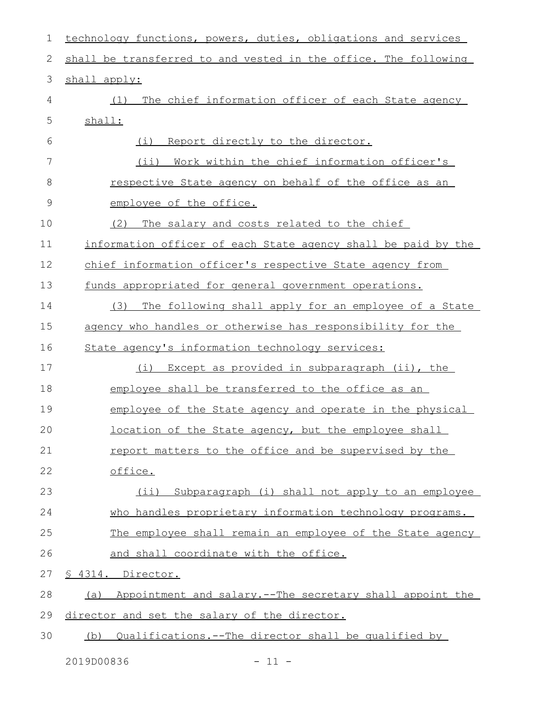| 1             | technology functions, powers, duties, obligations and services  |
|---------------|-----------------------------------------------------------------|
| 2             | shall be transferred to and vested in the office. The following |
| 3             | shall apply:                                                    |
| 4             | (1) The chief information officer of each State agency          |
| 5             | shall:                                                          |
| 6             | (i) Report directly to the director.                            |
| 7             | (ii) Work within the chief information officer's                |
| 8             | <u>respective State agency on behalf of the office as an</u>    |
| $\mathcal{G}$ | employee of the office.                                         |
| 10            | The salary and costs related to the chief<br>(2)                |
| 11            | information officer of each State agency shall be paid by the   |
| 12            | chief information officer's respective State agency from        |
| 13            | funds appropriated for general government operations.           |
| 14            | The following shall apply for an employee of a State<br>(3)     |
| 15            | agency who handles or otherwise has responsibility for the      |
| 16            | State agency's information technology services:                 |
| 17            | (i) Except as provided in subparagraph (ii), the                |
| 18            | employee shall be transferred to the office as an               |
| 19            | employee of the State agency and operate in the physical        |
| 20            | location of the State agency, but the employee shall            |
| 21            | report matters to the office and be supervised by the           |
| 22            | office.                                                         |
| 23            | Subparagraph (i) shall not apply to an employee<br>(ii)         |
| 24            | who handles proprietary information technology programs.        |
| 25            | The employee shall remain an employee of the State agency       |
| 26            | and shall coordinate with the office.                           |
| 27            | § 4314. Director.                                               |
| 28            | (a) Appointment and salary.--The secretary shall appoint the    |
| 29            | director and set the salary of the director.                    |
| 30            | (b) Qualifications.--The director shall be qualified by         |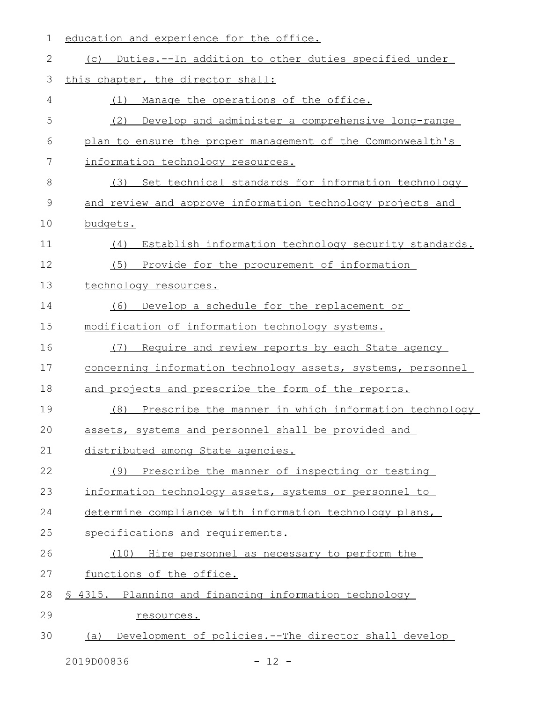| 1  | education and experience for the office.                      |
|----|---------------------------------------------------------------|
| 2  | (c) Duties.--In addition to other duties specified under      |
| 3  | this chapter, the director shall:                             |
| 4  | Manage the operations of the office.<br>(1)                   |
| 5  | (2)<br>Develop and administer a comprehensive long-range      |
| 6  | plan to ensure the proper management of the Commonwealth's    |
| 7  | information technology resources.                             |
| 8  | (3)<br>Set technical standards for information technology     |
| 9  | and review and approve information technology projects and    |
| 10 | budgets.                                                      |
| 11 | Establish information technology security standards.<br>(4)   |
| 12 | (5)<br>Provide for the procurement of information             |
| 13 | technology resources.                                         |
| 14 | Develop a schedule for the replacement or<br>(6)              |
| 15 | modification of information technology systems.               |
| 16 | Require and review reports by each State agency<br>(7)        |
| 17 | concerning information technology assets, systems, personnel  |
| 18 | and projects and prescribe the form of the reports.           |
| 19 | Prescribe the manner in which information technology<br>(8)   |
| 20 | assets, systems and personnel shall be provided and           |
| 21 | distributed among State agencies.                             |
| 22 | Prescribe the manner of inspecting or testing<br>(9)          |
| 23 | information technology assets, systems or personnel to        |
| 24 | determine compliance with information technology plans,       |
| 25 | specifications and requirements.                              |
| 26 | (10) Hire personnel as necessary to perform the               |
| 27 | functions of the office.                                      |
| 28 | § 4315. Planning and financing information technology         |
| 29 | resources.                                                    |
| 30 | Development of policies. -- The director shall develop<br>(a) |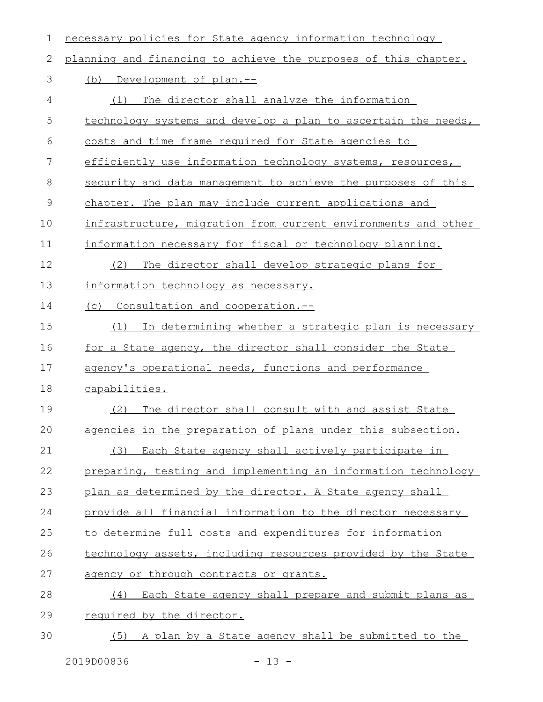| 1             | necessary policies for State agency information technology      |
|---------------|-----------------------------------------------------------------|
| 2             | planning and financing to achieve the purposes of this chapter. |
| 3             | (b) Development of plan.--                                      |
| 4             | The director shall analyze the information<br>(1)               |
| 5             | technology systems and develop a plan to ascertain the needs,   |
| 6             | costs and time frame required for State agencies to             |
| 7             | efficiently use information technology systems, resources,      |
| 8             | security and data management to achieve the purposes of this    |
| $\mathcal{G}$ | chapter. The plan may include current applications and          |
| 10            | infrastructure, migration from current environments and other   |
| 11            | information necessary for fiscal or technology planning.        |
| 12            | (2)<br>The director shall develop strategic plans for           |
| 13            | information technology as necessary.                            |
| 14            | (c) Consultation and cooperation.--                             |
| 15            | In determining whether a strategic plan is necessary<br>(1)     |
| 16            | for a State agency, the director shall consider the State       |
| 17            | agency's operational needs, functions and performance           |
| 18            | capabilities.                                                   |
| 19            | The director shall consult with and assist State<br>(2)         |
| 20            | agencies in the preparation of plans under this subsection.     |
| 21            | (3) Each State agency shall actively participate in             |
| 22            | preparing, testing and implementing an information technology   |
| 23            | plan as determined by the director. A State agency shall        |
| 24            | provide all financial information to the director necessary     |
| 25            | to determine full costs and expenditures for information        |
| 26            | technology assets, including resources provided by the State    |
| 27            | agency or through contracts or grants.                          |
| 28            | Each State agency shall prepare and submit plans as<br>(4)      |
| 29            | required by the director.                                       |
| 30            | (5) A plan by a State agency shall be submitted to the          |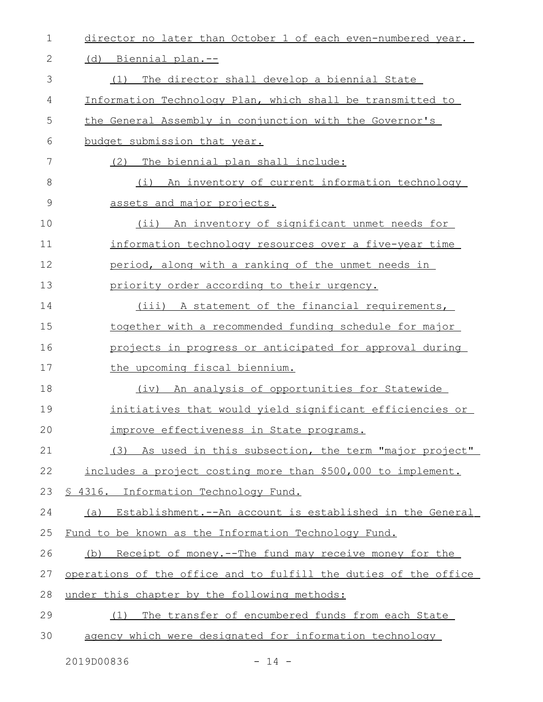| 1            | director no later than October 1 of each even-numbered year.     |
|--------------|------------------------------------------------------------------|
| $\mathbf{2}$ | (d) Biennial plan.--                                             |
| 3            | The director shall develop a biennial State<br>(1)               |
| 4            | Information Technology Plan, which shall be transmitted to       |
| 5            | the General Assembly in conjunction with the Governor's          |
| 6            | budget submission that year.                                     |
| 7            | The biennial plan shall include:<br>(2)                          |
| 8            | (i)<br><u>An inventory of current information technology</u>     |
| 9            | assets and major projects.                                       |
| 10           | (ii) An inventory of significant unmet needs for                 |
| 11           | information technology resources over a five-year time           |
| 12           | period, along with a ranking of the unmet needs in               |
| 13           | priority order according to their urgency.                       |
| 14           | (iii) A statement of the financial requirements,                 |
| 15           | together with a recommended funding schedule for major           |
| 16           | projects in progress or anticipated for approval during          |
| 17           | the upcoming fiscal biennium.                                    |
| 18           | (iv) An analysis of opportunities for Statewide                  |
| 19           | <u>initiatives that would yield significant efficiencies or </u> |
| 20           | improve effectiveness in State programs.                         |
| 21           | (3) As used in this subsection, the term "major project"         |
| 22           | includes a project costing more than \$500,000 to implement.     |
| 23           | § 4316. Information Technology Fund.                             |
| 24           | (a) Establishment.--An account is established in the General     |
| 25           | Fund to be known as the Information Technology Fund.             |
| 26           | (b) Receipt of money.--The fund may receive money for the        |
| 27           | operations of the office and to fulfill the duties of the office |
| 28           | under this chapter by the following methods:                     |
| 29           | The transfer of encumbered funds from each State<br>(1)          |
| 30           | agency which were designated for information technology          |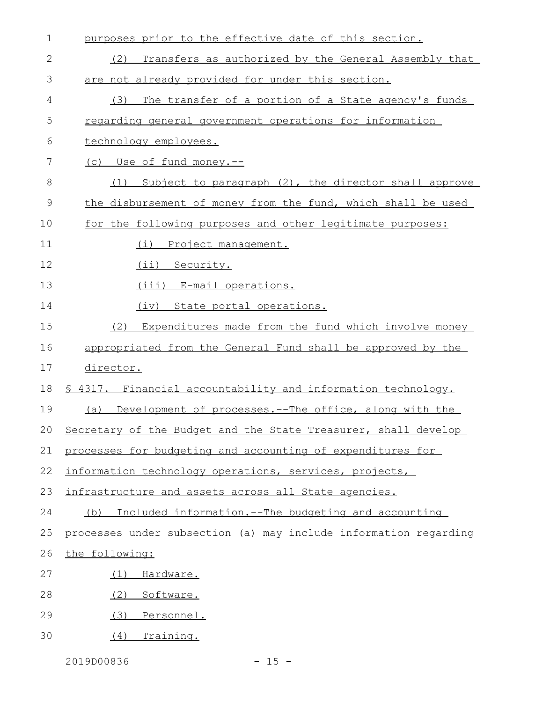| 1  | purposes prior to the effective date of this section.            |
|----|------------------------------------------------------------------|
| 2  | Transfers as authorized by the General Assembly that<br>(2)      |
| 3  | are not already provided for under this section.                 |
| 4  | The transfer of a portion of a State agency's funds<br>(3)       |
| 5  | regarding general government operations for information          |
| 6  | technology employees.                                            |
| 7  | (c) Use of fund money.--                                         |
| 8  | Subject to paragraph (2), the director shall approve<br>(1)      |
| 9  | the disbursement of money from the fund, which shall be used     |
| 10 | for the following purposes and other legitimate purposes:        |
| 11 | Project management.<br>(i)                                       |
| 12 | (ii) Security.                                                   |
| 13 | (iii) E-mail operations.                                         |
| 14 | (iv) State portal operations.                                    |
| 15 | Expenditures made from the fund which involve money<br>(2)       |
| 16 | appropriated from the General Fund shall be approved by the      |
| 17 | director.                                                        |
| 18 | \$ 4317. Financial accountability and information technology.    |
| 19 | (a) Development of processes.--The office, along with the        |
| 20 | Secretary of the Budget and the State Treasurer, shall develop   |
| 21 | processes for budgeting and accounting of expenditures for       |
| 22 | information technology operations, services, projects,           |
| 23 | infrastructure and assets across all State agencies.             |
| 24 | Included information.--The budgeting and accounting<br>(b)       |
| 25 | processes under subsection (a) may include information regarding |
| 26 | the following:                                                   |
| 27 | Hardware.<br>(1)                                                 |
| 28 | (2)<br>Software.                                                 |
| 29 | (3)<br>Personnel.                                                |
| 30 | Training.<br>(4)                                                 |

2019D00836 - 15 -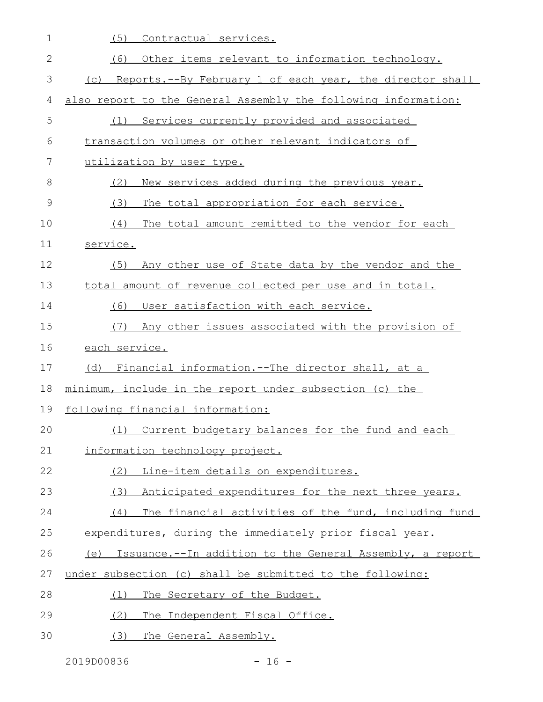| $\mathbf 1$ | (5)<br>Contractual services.                                   |
|-------------|----------------------------------------------------------------|
| 2           | (6)<br>Other items relevant to information technology.         |
| 3           | (c) Reports.--By February 1 of each year, the director shall   |
| 4           | also report to the General Assembly the following information: |
| 5           | Services currently provided and associated<br>(1)              |
| 6           | transaction volumes or other relevant indicators of            |
| 7           | utilization by user type.                                      |
| 8           | New services added during the previous year.<br>(2)            |
| 9           | (3)<br>The total appropriation for each service.               |
| 10          | (4)<br>The total amount remitted to the vendor for each        |
| 11          | service.                                                       |
| 12          | Any other use of State data by the vendor and the<br>(5)       |
| 13          | total amount of revenue collected per use and in total.        |
| 14          | User satisfaction with each service.<br>(6)                    |
| 15          | Any other issues associated with the provision of<br>(7)       |
| 16          | each service.                                                  |
| 17          | <u>Financial information.--The director shall, at a</u><br>(d) |
| 18          | minimum, include in the report under subsection (c) the        |
| 19          | following financial information:                               |
| 20          | (1) Current budgetary balances for the fund and each           |
| 21          | information technology project.                                |
| 22          | (2) Line-item details on expenditures.                         |
| 23          | (3) Anticipated expenditures for the next three years.         |
| 24          | The financial activities of the fund, including fund<br>(4)    |
| 25          | expenditures, during the immediately prior fiscal year.        |
| 26          | (e) Issuance.--In addition to the General Assembly, a report   |
| 27          | under subsection (c) shall be submitted to the following:      |
| 28          | The Secretary of the Budget.<br>(1)                            |
| 29          | The Independent Fiscal Office.<br>(2)                          |
| 30          | The General Assembly.<br>(3)                                   |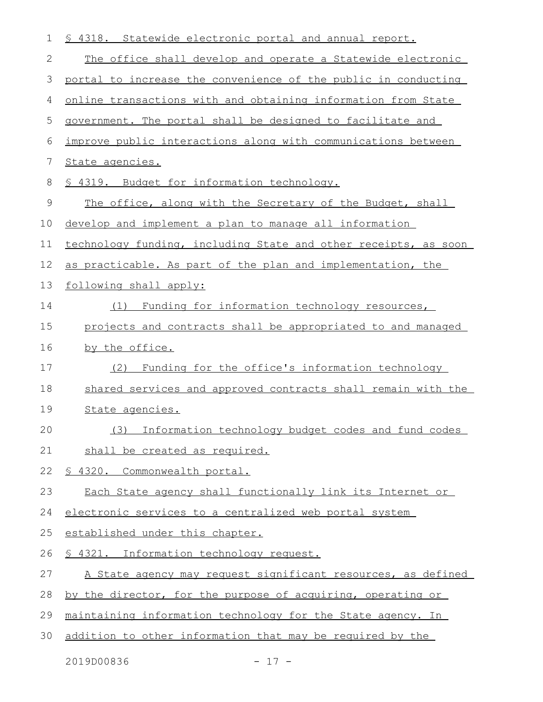| 1           | \$ 4318. Statewide electronic portal and annual report.         |
|-------------|-----------------------------------------------------------------|
| 2           | The office shall develop and operate a Statewide electronic     |
| 3           | portal to increase the convenience of the public in conducting  |
| 4           | online transactions with and obtaining information from State   |
| 5           | government. The portal shall be designed to facilitate and      |
| 6           | improve public interactions along with communications between   |
| 7           | State agencies.                                                 |
| 8           | <u>§ 4319. Budget for information technology.</u>               |
| $\mathsf 9$ | The office, along with the Secretary of the Budget, shall       |
| 10          | develop and implement a plan to manage all information          |
| 11          | technology funding, including State and other receipts, as soon |
| 12          | as practicable. As part of the plan and implementation, the     |
| 13          | following shall apply:                                          |
| 14          | Funding for information technology resources,<br>(1)            |
| 15          | projects and contracts shall be appropriated to and managed     |
| 16          | by the office.                                                  |
| 17          | Funding for the office's information technology<br>(2)          |
| 18          | shared services and approved contracts shall remain with the    |
| 19          | State agencies.                                                 |
| 20          | (3) Information technology budget codes and fund codes          |
| 21          | shall be created as required.                                   |
| 22          | § 4320. Commonwealth portal.                                    |
| 23          | Each State agency shall functionally link its Internet or       |
| 24          | electronic services to a centralized web portal system          |
| 25          | established under this chapter.                                 |
| 26          | § 4321. Information technology request.                         |
| 27          | A State agency may request significant resources, as defined    |
| 28          | by the director, for the purpose of acquiring, operating or     |
| 29          | maintaining information technology for the State agency. In     |
| 30          | addition to other information that may be required by the       |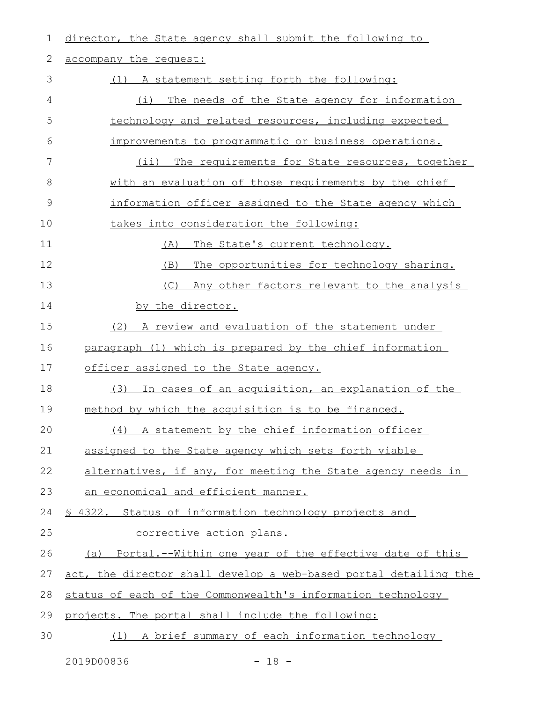| 1  | director, the State agency shall submit the following to         |
|----|------------------------------------------------------------------|
| 2  | accompany the request:                                           |
| 3  | (1) A statement setting forth the following:                     |
| 4  | (i) The needs of the State agency for information                |
| 5  | technology and related resources, including expected             |
| 6  | improvements to programmatic or business operations.             |
| 7  | $(i$ ii)<br>The requirements for State resources, together       |
| 8  | with an evaluation of those requirements by the chief            |
| 9  | information officer assigned to the State agency which           |
| 10 | takes into consideration the following:                          |
| 11 | The State's current technology.<br>(A)                           |
| 12 | The opportunities for technology sharing.<br>(B)                 |
| 13 | (C)<br>Any other factors relevant to the analysis                |
| 14 | by the director.                                                 |
| 15 | (2) A review and evaluation of the statement under               |
| 16 | paragraph (1) which is prepared by the chief information         |
| 17 | officer assigned to the State agency.                            |
| 18 | In cases of an acquisition, an explanation of the<br>(3)         |
| 19 | method by which the acquisition is to be financed.               |
| 20 | (4) A statement by the chief information officer                 |
| 21 | assigned to the State agency which sets forth viable             |
| 22 | alternatives, if any, for meeting the State agency needs in      |
| 23 | an economical and efficient manner.                              |
| 24 | \$ 4322. Status of information technology projects and           |
| 25 | corrective action plans.                                         |
| 26 | (a) Portal.--Within one year of the effective date of this       |
| 27 | act, the director shall develop a web-based portal detailing the |
| 28 | status of each of the Commonwealth's information technology      |
| 29 | projects. The portal shall include the following:                |
| 30 | (1) A brief summary of each information technology               |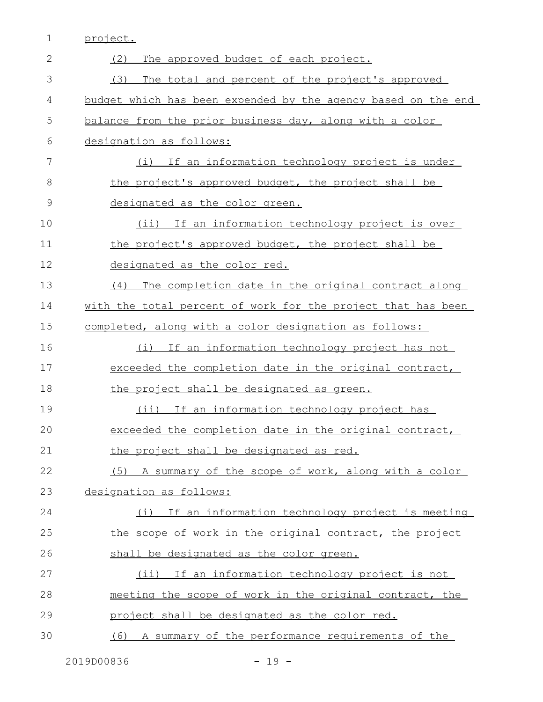|  | project. |
|--|----------|
|  |          |

| 2             | (2)<br>The approved budget of each project.                   |
|---------------|---------------------------------------------------------------|
| 3             | (3)<br>The total and percent of the project's approved        |
| 4             | budget which has been expended by the agency based on the end |
| 5             | balance from the prior business day, along with a color       |
| 6             | designation as follows:                                       |
| 7             | (i) If an information technology project is under             |
| 8             | the project's approved budget, the project shall be           |
| $\mathcal{G}$ | designated as the color green.                                |
| 10            | (ii) If an information technology project is over             |
| 11            | the project's approved budget, the project shall be           |
| 12            | designated as the color red.                                  |
| 13            | The completion date in the original contract along<br>(4)     |
| 14            | with the total percent of work for the project that has been  |
| 15            | completed, along with a color designation as follows:         |
| 16            | (i) If an information technology project has not              |
| 17            | exceeded the completion date in the original contract,        |
| 18            | the project shall be designated as green.                     |
| 19            | (ii) If an information technology project has                 |
| 20            | exceeded the completion date in the original contract,        |
| 21            | the project shall be designated as red.                       |
| 22            | (5) A summary of the scope of work, along with a color        |
| 23            | designation as follows:                                       |
| 24            | (i) If an information technology project is meeting           |
| 25            | the scope of work in the original contract, the project       |
| 26            | shall be designated as the color green.                       |
| 27            | (ii) If an information technology project is not              |
| 28            | meeting the scope of work in the original contract, the       |
| 29            | project shall be designated as the color red.                 |
| 30            | (6) A summary of the performance requirements of the          |
|               |                                                               |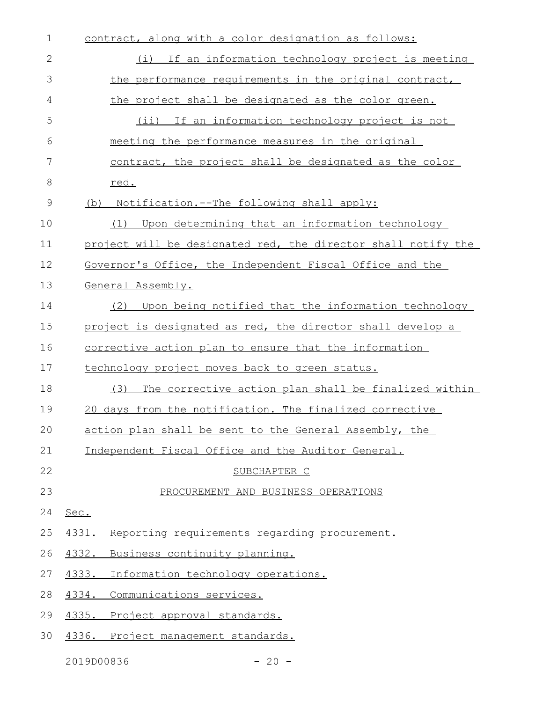| $\mathbf 1$ | contract, along with a color designation as follows:          |
|-------------|---------------------------------------------------------------|
| 2           | (i) If an information technology project is meeting           |
| 3           | the performance requirements in the original contract,        |
| 4           | the project shall be designated as the color green.           |
| 5           | (ii) If an information technology project is not              |
| 6           | meeting the performance measures in the original              |
| 7           | contract, the project shall be designated as the color        |
| 8           | red.                                                          |
| $\mathsf 9$ | (b) Notification.--The following shall apply:                 |
| 10          | Upon determining that an information technology<br>(1)        |
| 11          | project will be designated red, the director shall notify the |
| 12          | Governor's Office, the Independent Fiscal Office and the      |
| 13          | General Assembly.                                             |
| 14          | Upon being notified that the information technology<br>(2)    |
| 15          | project is designated as red, the director shall develop a    |
| 16          | <u>corrective action plan to ensure that the information</u>  |
| 17          | technology project moves back to green status.                |
| 18          | The corrective action plan shall be finalized within<br>(3)   |
| 19          | 20 days from the notification. The finalized corrective       |
| 20          | action plan shall be sent to the General Assembly, the        |
| 21          | Independent Fiscal Office and the Auditor General.            |
| 22          | SUBCHAPTER C                                                  |
| 23          | PROCUREMENT AND BUSINESS OPERATIONS                           |
| 24          | Sec.                                                          |
| 25          | Reporting requirements regarding procurement.<br>4331.        |
| 26          | Business continuity planning.<br>4332.                        |
| 27          | 4333.<br>Information technology operations.                   |
| 28          | Communications services.<br>4334.                             |
| 29          | 4335.<br>Project approval standards.                          |
| 30          | 4336.<br>Project management standards.                        |
|             |                                                               |

2019D00836 - 20 -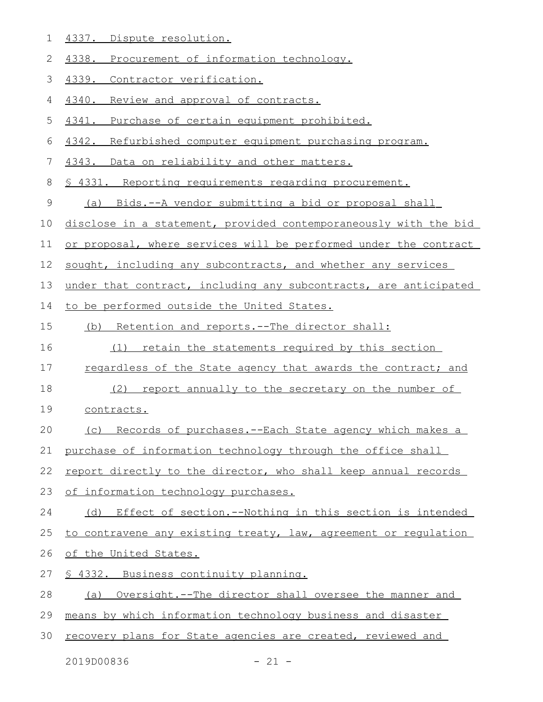- 4337. Dispute resolution. 1
- 4338. Procurement of information technology. 2
- 4339. Contractor verification. 3
- 4340. Review and approval of contracts. 4
- 4341. Purchase of certain equipment prohibited. 5
- 4342. Refurbished computer equipment purchasing program. 6
- 4343. Data on reliability and other matters. 7
- § 4331. Reporting requirements regarding procurement. 8
- (a) Bids.--A vendor submitting a bid or proposal shall 9
- disclose in a statement, provided contemporaneously with the bid 10
- or proposal, where services will be performed under the contract 11
- sought, including any subcontracts, and whether any services 12
- under that contract, including any subcontracts, are anticipated 13
- to be performed outside the United States. 14
- (b) Retention and reports.--The director shall: 15
- (1) retain the statements required by this section 16
- regardless of the State agency that awards the contract; and 17
- (2) report annually to the secretary on the number of 18
- contracts. 19
- (c) Records of purchases.--Each State agency which makes a 20
- purchase of information technology through the office shall 21
- report directly to the director, who shall keep annual records 22
- of information technology purchases. 23
- (d) Effect of section.--Nothing in this section is intended 24
- to contravene any existing treaty, law, agreement or regulation 25
- of the United States. 26
- § 4332. Business continuity planning. 27
- (a) Oversight.--The director shall oversee the manner and 28
- means by which information technology business and disaster 29
- recovery plans for State agencies are created, reviewed and 30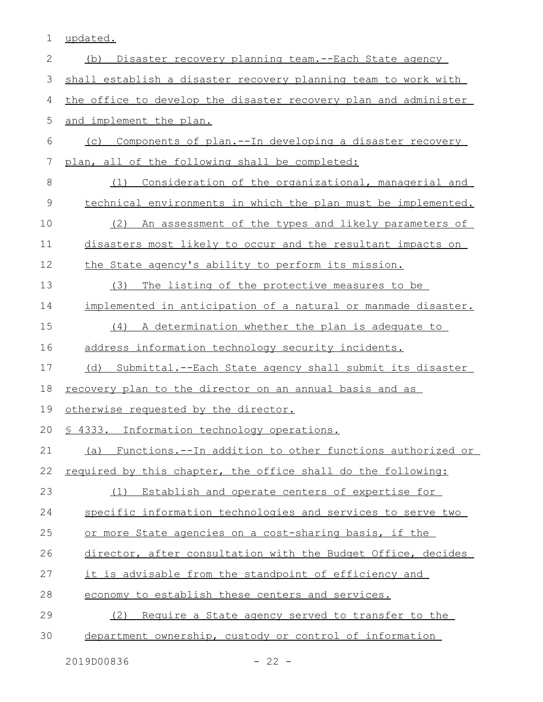1 updated.

| $\mathbf{2}$ | Disaster recovery planning team. -- Each State agency<br>(b)    |
|--------------|-----------------------------------------------------------------|
| 3            | shall establish a disaster recovery planning team to work with  |
| 4            | the office to develop the disaster recovery plan and administer |
| 5            | and implement the plan.                                         |
| 6            | (c) Components of plan.--In developing a disaster recovery      |
| 7            | plan, all of the following shall be completed:                  |
| $\,8\,$      | Consideration of the organizational, managerial and<br>(1)      |
| $\mathsf 9$  | technical environments in which the plan must be implemented.   |
| 10           | An assessment of the types and likely parameters of<br>(2)      |
| 11           | disasters most likely to occur and the resultant impacts on     |
| 12           | the State agency's ability to perform its mission.              |
| 13           | The listing of the protective measures to be<br>(3)             |
| 14           | implemented in anticipation of a natural or manmade disaster.   |
| 15           | (4)<br>A determination whether the plan is adequate to          |
| 16           | address information technology security incidents.              |
| 17           | (d) Submittal.--Each State agency shall submit its disaster     |
| 18           | <u>recovery plan to the director on an annual basis and as</u>  |
| 19           | otherwise requested by the director.                            |
| 20           | § 4333. Information technology operations.                      |
| 21           | (a) Functions.--In addition to other functions authorized or    |
| 22           | required by this chapter, the office shall do the following:    |
| 23           | Establish and operate centers of expertise for<br>(1)           |
| 24           | specific information technologies and services to serve two     |
| 25           | or more State agencies on a cost-sharing basis, if the          |
| 26           | director, after consultation with the Budget Office, decides    |
| 27           | it is advisable from the standpoint of efficiency and           |
| 28           | economy to establish these centers and services.                |
| 29           | (2) Require a State agency served to transfer to the            |
| 30           | department ownership, custody or control of information         |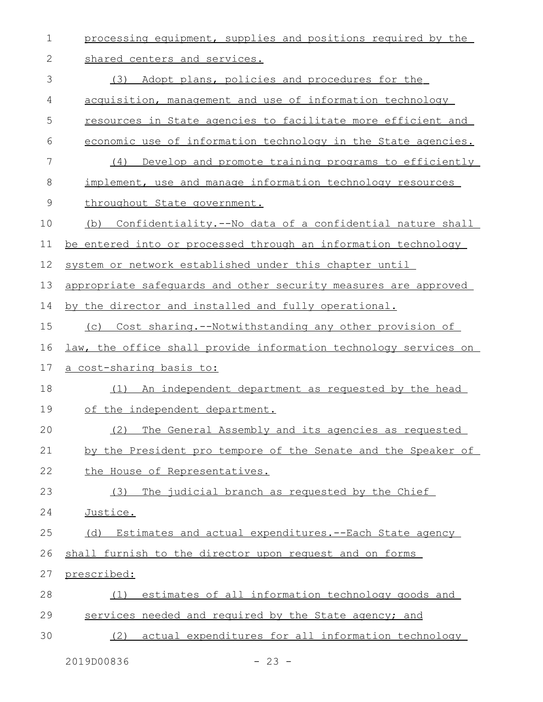| $\mathbf 1$ | processing equipment, supplies and positions required by the     |
|-------------|------------------------------------------------------------------|
| 2           | shared centers and services.                                     |
| 3           | Adopt plans, policies and procedures for the<br>(3)              |
| 4           | acquisition, management and use of information technology        |
| 5           | resources in State agencies to facilitate more efficient and     |
| 6           | economic use of information technology in the State agencies.    |
| 7           | Develop and promote training programs to efficiently<br>(4)      |
| 8           | implement, use and manage information technology resources       |
| 9           | throughout State government.                                     |
| 10          | Confidentiality.--No data of a confidential nature shall<br>(b)  |
| 11          | be entered into or processed through an information technology   |
| 12          | system or network established under this chapter until           |
| 13          | appropriate safequards and other security measures are approved  |
| 14          | by the director and installed and fully operational.             |
| 15          | (c) Cost sharing.--Notwithstanding any other provision of        |
|             |                                                                  |
| 16          | law, the office shall provide information technology services on |
| 17          | a cost-sharing basis to:                                         |
| 18          | An independent department as requested by the head<br>(1)        |
| 19          | of the independent department.                                   |
| 20          | (2)<br>The General Assembly and its agencies as requested        |
| 21          | by the President pro tempore of the Senate and the Speaker of    |
| 22          | the House of Representatives.                                    |
| 23          | The judicial branch as requested by the Chief<br>(3)             |
| 24          | Justice.                                                         |
| 25          | (d) Estimates and actual expenditures. -- Each State agency      |
| 26          | shall furnish to the director upon request and on forms          |
| 27          | prescribed:                                                      |
| 28          | estimates of all information technology goods and<br>(1)         |
| 29          | services needed and required by the State agency; and            |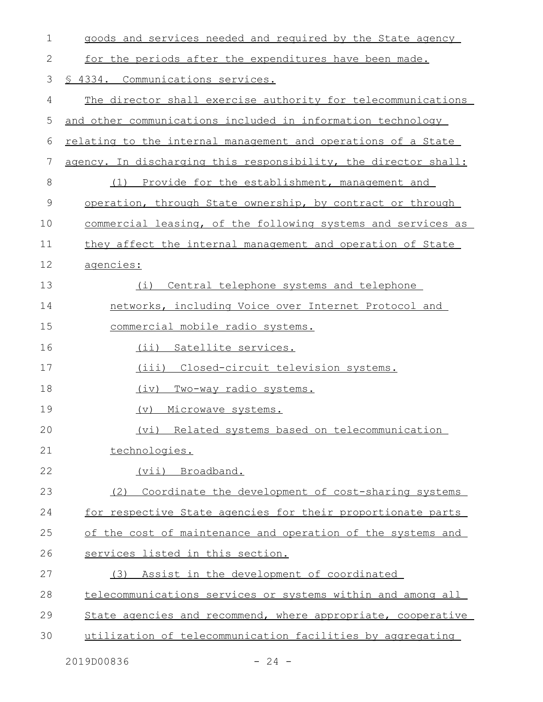| $\mathbf 1$ | goods and services needed and required by the State agency      |
|-------------|-----------------------------------------------------------------|
| 2           | for the periods after the expenditures have been made.          |
| 3           | § 4334. Communications services.                                |
| 4           | The director shall exercise authority for telecommunications    |
| 5           | and other communications included in information technology     |
| 6           | relating to the internal management and operations of a State   |
| 7           | agency. In discharging this responsibility, the director shall: |
| 8           | (1) Provide for the establishment, management and               |
| 9           | operation, through State ownership, by contract or through      |
| 10          | commercial leasing, of the following systems and services as    |
| 11          | they affect the internal management and operation of State      |
| 12          | agencies:                                                       |
| 13          | (i) Central telephone systems and telephone                     |
| 14          | networks, including Voice over Internet Protocol and            |
| 15          | commercial mobile radio systems.                                |
| 16          | (ii) Satellite services.                                        |
| 17          | (iii) Closed-circuit television systems.                        |
| 18          | <u>Two-way radio systems.</u><br>(iv)                           |
| 19          | (v)<br>Microwave systems.                                       |
| 20          | (vi) Related systems based on telecommunication                 |
| 21          | technologies.                                                   |
| 22          | (vii) Broadband.                                                |
| 23          | (2) Coordinate the development of cost-sharing systems          |
| 24          | for respective State agencies for their proportionate parts     |
| 25          | of the cost of maintenance and operation of the systems and     |
| 26          | services listed in this section.                                |
| 27          | Assist in the development of coordinated<br>(3)                 |
| 28          | telecommunications services or systems within and among all     |
| 29          | State agencies and recommend, where appropriate, cooperative    |
| 30          | utilization of telecommunication facilities by aggregating      |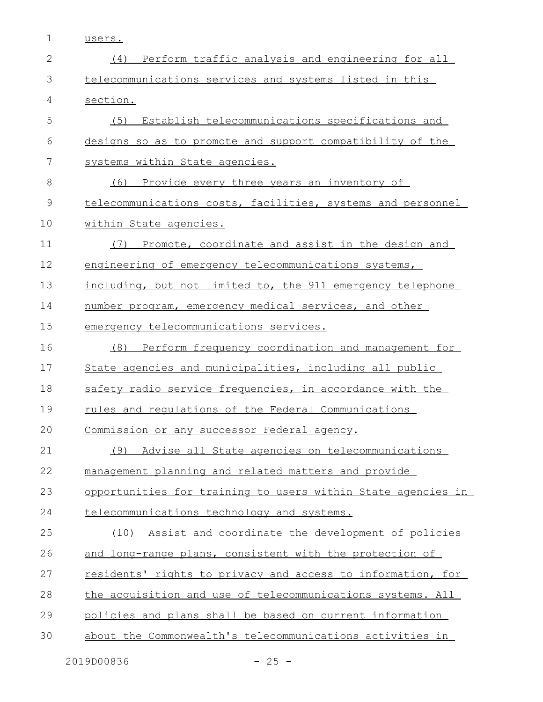| ∼<br>,,<br>∽ ≁ .<br>- |
|-----------------------|
|-----------------------|

| $\mathbf{2}$  | (4) Perform traffic analysis and engineering for all               |
|---------------|--------------------------------------------------------------------|
| 3             | telecommunications services and systems listed in this             |
| 4             | section.                                                           |
| 5             | Establish telecommunications specifications and<br>(5)             |
| 6             | designs so as to promote and support compatibility of the          |
| 7             | systems within State agencies.                                     |
| 8             | (6)<br>Provide every three years an inventory of                   |
| $\mathcal{G}$ | telecommunications costs, facilities, systems and personnel        |
| 10            | within State agencies.                                             |
| 11            | Promote, coordinate and assist in the design and<br>(7)            |
| 12            | engineering of emergency telecommunications systems,               |
| 13            | including, but not limited to, the 911 emergency telephone         |
| 14            | number program, emergency medical services, and other              |
| 15            | emergency telecommunications services.                             |
| 16            | Perform frequency coordination and management for<br>(8)           |
| 17            | State agencies and municipalities, including all public            |
| 18            | safety radio service frequencies, in accordance with the           |
| 19            | rules and requlations of the Federal Communications                |
| 20            | Commission or any successor Federal agency.                        |
| 21            | Advise all State agencies on telecommunications<br>(9)             |
| 22            | management planning and related matters and provide                |
| 23            | opportunities for training to users within State agencies in       |
| 24            | telecommunications technology and systems.                         |
| 25            | (10) Assist and coordinate the development of policies             |
| 26            | and long-range plans, consistent with the protection of            |
| 27            | <u>residents' rights to privacy and access to information, for</u> |
| 28            | the acquisition and use of telecommunications systems. All         |
| 29            | policies and plans shall be based on current information           |
| 30            | about the Commonwealth's telecommunications activities in          |
|               |                                                                    |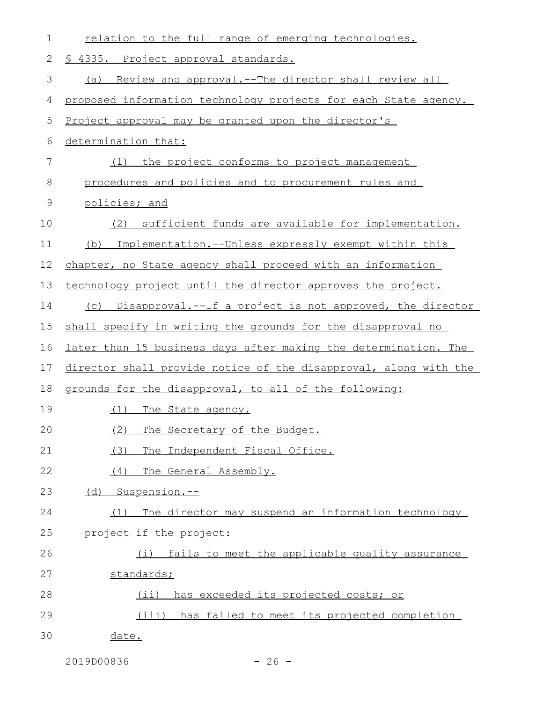| 1  | relation to the full range of emerging technologies.             |
|----|------------------------------------------------------------------|
| 2  | § 4335. Project approval standards.                              |
| 3  | (a) Review and approval.--The director shall review all          |
| 4  | proposed information technology projects for each State agency.  |
| 5  | Project approval may be granted upon the director's              |
| 6  | determination that:                                              |
| 7  | the project conforms to project management<br>(1)                |
| 8  | procedures and policies and to procurement rules and             |
| 9  | policies; and                                                    |
| 10 | sufficient funds are available for implementation.<br>(2)        |
| 11 | (b) Implementation.--Unless expressly exempt within this         |
| 12 | chapter, no State agency shall proceed with an information       |
| 13 | technology project until the director approves the project.      |
| 14 | (c) Disapproval.--If a project is not approved, the director     |
| 15 | shall specify in writing the grounds for the disapproval no      |
| 16 | later than 15 business days after making the determination. The  |
| 17 | director shall provide notice of the disapproval, along with the |
| 18 | grounds for the disapproval, to all of the following:            |
| 19 | <u>(1) The State agency.</u>                                     |
| 20 | (2) The Secretary of the Budget.                                 |
| 21 | (3)<br>The Independent Fiscal Office.                            |
| 22 | (4) The General Assembly.                                        |
| 23 | (d) Suspension.--                                                |
| 24 | The director may suspend an information technology<br>(1)        |
| 25 | project if the project:                                          |
| 26 | (i) fails to meet the applicable quality assurance               |
| 27 | standards;                                                       |
| 28 | $(i$ i)<br>has exceeded its projected costs; or                  |
| 29 | (iii) has failed to meet its projected completion                |
| 30 | date.                                                            |

2019D00836 - 26 -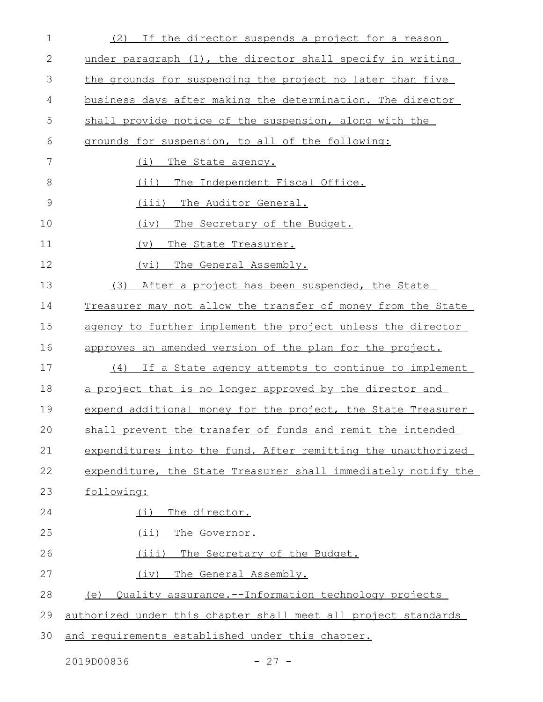| $\mathbf 1$   | (2) If the director suspends a project for a reason               |
|---------------|-------------------------------------------------------------------|
| 2             | under paragraph (1), the director shall specify in writing        |
| 3             | the grounds for suspending the project no later than five         |
| 4             | business days after making the determination. The director        |
| 5             | shall provide notice of the suspension, along with the            |
| 6             | grounds for suspension, to all of the following:                  |
| 7             | (i)<br>The State agency.                                          |
| 8             | (ii) The Independent Fiscal Office.                               |
| $\mathcal{G}$ | (iii) The Auditor General.                                        |
| 10            | (iv)<br>The Secretary of the Budget.                              |
| 11            | (v)<br>The State Treasurer.                                       |
| 12            | (vi)<br>The General Assembly.                                     |
| 13            | After a project has been suspended, the State<br>(3)              |
| 14            | Treasurer may not allow the transfer of money from the State      |
| 15            | agency to further implement the project unless the director       |
| 16            | approves an amended version of the plan for the project.          |
| 17            | (4) If a State agency attempts to continue to implement           |
| 18            | a project that is no longer approved by the director and          |
| 19            | expend additional money for the project, the State Treasurer      |
| 20            | shall prevent the transfer of funds and remit the intended        |
| 21            | expenditures into the fund. After remitting the unauthorized      |
| 22            | expenditure, the State Treasurer shall immediately notify the     |
| 23            | following:                                                        |
| 24            | The director.<br>(i)                                              |
| 25            | (ii) The Governor.                                                |
| 26            | The Secretary of the Budget.<br>(iii)                             |
| 27            | The General Assembly.<br>(iv)                                     |
| 28            | <u>Ouality assurance.--Information technology projects</u><br>(e) |
| 29            | authorized under this chapter shall meet all project standards    |
| 30            | and requirements established under this chapter.                  |

2019D00836 - 27 -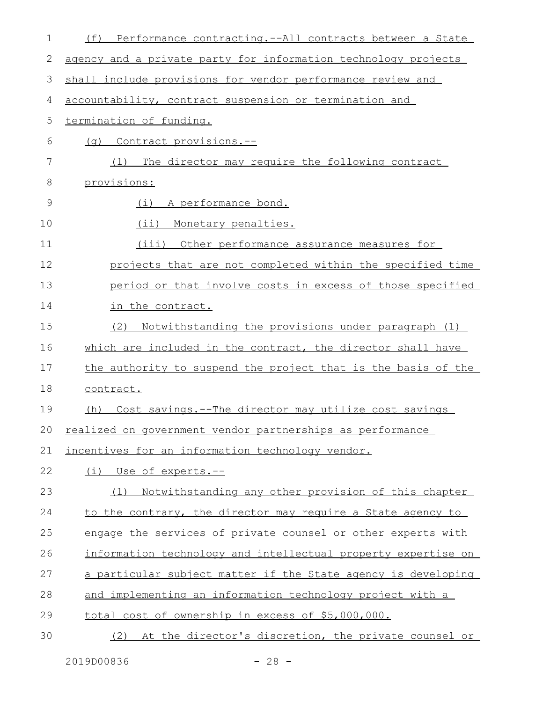| 1  | (f)<br>Performance contracting.--All contracts between a State |
|----|----------------------------------------------------------------|
| 2  | agency and a private party for information technology projects |
| 3  | shall include provisions for vendor performance review and     |
| 4  | accountability, contract suspension or termination and         |
| 5  | termination of funding.                                        |
| 6  | (q) Contract provisions.--                                     |
| 7  | The director may require the following contract<br>(1)         |
| 8  | provisions:                                                    |
| 9  | (i) A performance bond.                                        |
| 10 | (ii) Monetary penalties.                                       |
| 11 | (iii)<br>Other performance assurance measures for              |
| 12 | projects that are not completed within the specified time      |
| 13 | period or that involve costs in excess of those specified      |
| 14 | in the contract.                                               |
| 15 | Notwithstanding the provisions under paragraph (1)<br>(2)      |
| 16 | which are included in the contract, the director shall have    |
| 17 | the authority to suspend the project that is the basis of the  |
| 18 | contract.                                                      |
| 19 | Cost savings.--The director may utilize cost savings<br>(h)    |
| 20 | realized on government vendor partnerships as performance      |
| 21 | incentives for an information technology vendor.               |
| 22 | (i) Use of experts.--                                          |
| 23 | Notwithstanding any other provision of this chapter<br>(1)     |
| 24 | to the contrary, the director may require a State agency to    |
| 25 | engage the services of private counsel or other experts with   |
| 26 | information technology and intellectual property expertise on  |
| 27 | a particular subject matter if the State agency is developing  |
| 28 | and implementing an information technology project with a      |
| 29 | total cost of ownership in excess of \$5,000,000.              |
| 30 | (2) At the director's discretion, the private counsel or       |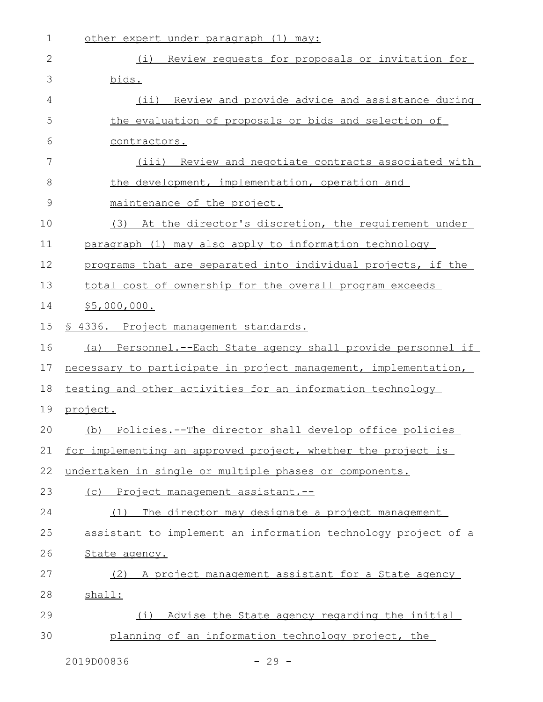| $\mathbf 1$  | other expert under paragraph (1) may:                           |
|--------------|-----------------------------------------------------------------|
| $\mathbf{2}$ | (i) Review requests for proposals or invitation for             |
| 3            | bids.                                                           |
| 4            | (ii) Review and provide advice and assistance during            |
| 5            | the evaluation of proposals or bids and selection of            |
| 6            | contractors.                                                    |
| 7            | Review and negotiate contracts associated with<br>(iii)         |
| 8            | the development, implementation, operation and                  |
| $\mathsf 9$  | maintenance of the project.                                     |
| 10           | (3) At the director's discretion, the requirement under         |
| 11           | paragraph (1) may also apply to information technology          |
| 12           | programs that are separated into individual projects, if the    |
| 13           | total cost of ownership for the overall program exceeds         |
| 14           | \$5,000,000.                                                    |
| 15           | § 4336. Project management standards.                           |
| 16           | (a) Personnel.--Each State agency shall provide personnel if    |
| 17           | necessary to participate in project management, implementation, |
| 18           | testing and other activities for an information technology      |
| 19           | project.                                                        |
| 20           | (b)<br>Policies.--The director shall develop office policies    |
| 21           | for implementing an approved project, whether the project is    |
| 22           | undertaken in single or multiple phases or components.          |
| 23           | (c) Project management assistant.--                             |
| 24           | The director may designate a project management<br>(1)          |
| 25           | assistant to implement an information technology project of a   |
| 26           | State agency.                                                   |
| 27           | (2) A project management assistant for a State agency           |
| 28           | shall:                                                          |
| 29           | (i) Advise the State agency regarding the initial               |
| 30           | planning of an information technology project, the              |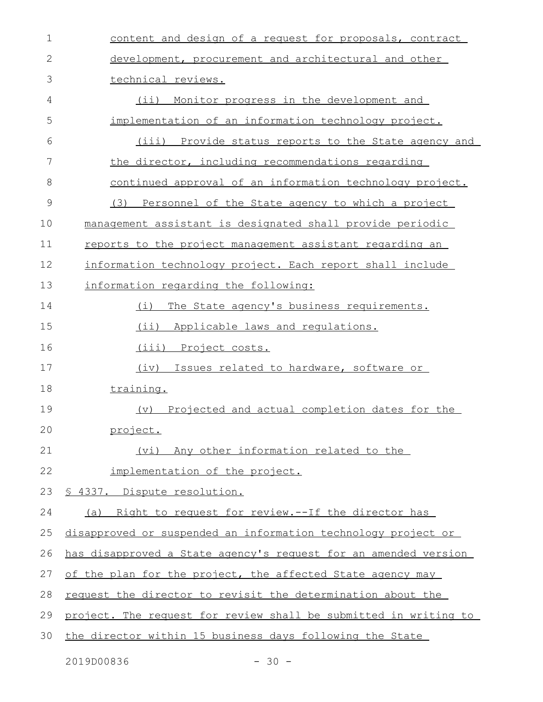| $\mathbf 1$ | content and design of a request for proposals, contract            |
|-------------|--------------------------------------------------------------------|
| 2           | development, procurement and architectural and other               |
| 3           | technical reviews.                                                 |
| 4           | $(i$ i)<br>Monitor progress in the development and                 |
| 5           | implementation of an information technology project.               |
| 6           | (iii) Provide status reports to the State agency and               |
| 7           | the director, including recommendations regarding                  |
| 8           | continued approval of an information technology project.           |
| 9           | (3) Personnel of the State agency to which a project               |
| 10          | management assistant is designated shall provide periodic          |
| 11          | reports to the project management assistant regarding an           |
| 12          | information technology project. Each report shall include          |
| 13          | information regarding the following:                               |
| 14          | The State agency's business requirements.<br>(i)                   |
| 15          | $(i$ i)<br>Applicable laws and regulations.                        |
| 16          | (iii) Project costs.                                               |
| 17          | Issues related to hardware, software or<br>(iv)                    |
| 18          | training.                                                          |
| 19          | (v) Projected and actual completion dates for the                  |
| 20          | project.                                                           |
| 21          | (vi) Any other information related to the                          |
| 22          | implementation of the project.                                     |
| 23          | <u>S 4337. Dispute resolution.</u>                                 |
| 24          | (a) Right to request for review.--If the director has              |
| 25          | disapproved or suspended an information technology project or      |
| 26          | has disapproved a State agency's request for an amended version    |
| 27          | of the plan for the project, the affected State agency may         |
| 28          | <u>request the director to revisit the determination about the</u> |
| 29          | project. The request for review shall be submitted in writing to   |
| 30          | the director within 15 business days following the State           |
|             |                                                                    |

2019D00836 - 30 -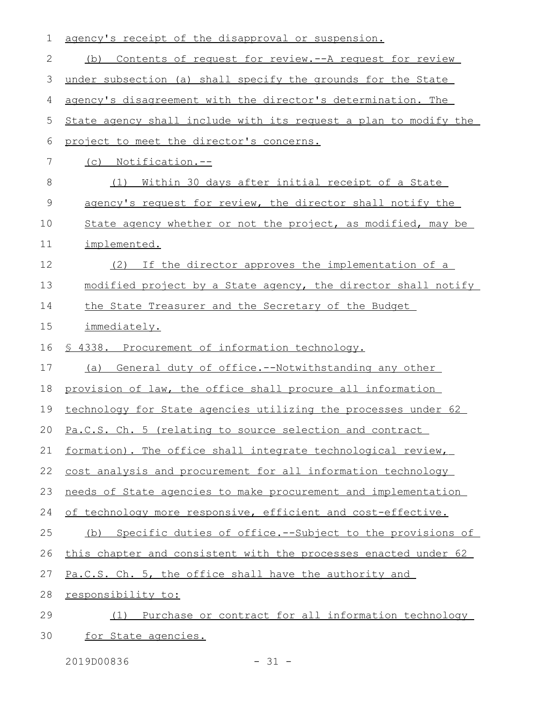| 1             | agency's receipt of the disapproval or suspension.               |
|---------------|------------------------------------------------------------------|
| 2             | Contents of request for review. -- A request for review<br>(b)   |
| 3             | under subsection (a) shall specify the grounds for the State     |
| 4             | agency's disagreement with the director's determination. The     |
| 5             | State agency shall include with its request a plan to modify the |
| 6             | project to meet the director's concerns.                         |
| 7             | (c) Notification.--                                              |
| 8             | Within 30 days after initial receipt of a State<br>(1)           |
| $\mathcal{G}$ | agency's request for review, the director shall notify the       |
| 10            | State agency whether or not the project, as modified, may be     |
| 11            | implemented.                                                     |
| 12            | (2) If the director approves the implementation of a             |
| 13            | modified project by a State agency, the director shall notify    |
| 14            | the State Treasurer and the Secretary of the Budget              |
| 15            | immediately.                                                     |
| 16            | <u>S 4338. Procurement of information technology.</u>            |
| 17            | (a)<br>General duty of office.--Notwithstanding any other        |
| 18            | provision of law, the office shall procure all information       |
| 19            | technology for State agencies utilizing the processes under 62   |
|               | 20 Pa.C.S. Ch. 5 (relating to source selection and contract      |
| 21            | formation). The office shall integrate technological review,     |
| 22            | cost analysis and procurement for all information technology     |
| 23            | needs of State agencies to make procurement and implementation   |
| 24            | of technology more responsive, efficient and cost-effective.     |
| 25            | (b) Specific duties of office.--Subject to the provisions of     |
| 26            | this chapter and consistent with the processes enacted under 62  |
| 27            | Pa.C.S. Ch. 5, the office shall have the authority and           |
| 28            | responsibility to:                                               |
| 29            | Purchase or contract for all information technology<br>(1)       |
| 30            | for State agencies.                                              |

2019D00836 - 31 -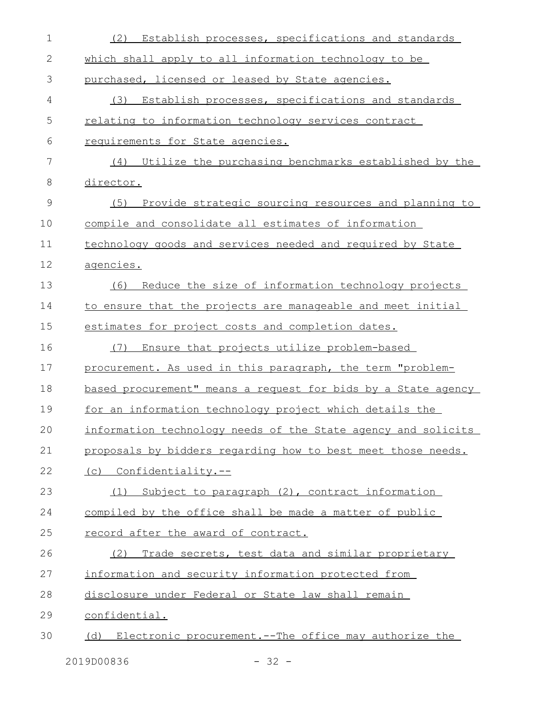| 1  | Establish processes, specifications and standards<br>(2)      |
|----|---------------------------------------------------------------|
| 2  | which shall apply to all information technology to be         |
| 3  | purchased, licensed or leased by State agencies.              |
| 4  | (3)<br>Establish processes, specifications and standards      |
| 5  | relating to information technology services contract          |
| 6  | requirements for State agencies.                              |
| 7  | (4) Utilize the purchasing benchmarks established by the      |
| 8  | director.                                                     |
| 9  | (5)<br>Provide strategic sourcing resources and planning to   |
| 10 | compile and consolidate all estimates of information          |
| 11 | technology goods and services needed and required by State    |
| 12 | agencies.                                                     |
| 13 | Reduce the size of information technology projects<br>(6)     |
| 14 | to ensure that the projects are manageable and meet initial   |
| 15 | estimates for project costs and completion dates.             |
| 16 | Ensure that projects utilize problem-based<br>(7)             |
| 17 | procurement. As used in this paragraph, the term "problem-    |
| 18 | based procurement" means a request for bids by a State agency |
| 19 | for an information technology project which details the       |
| 20 | information technology needs of the State agency and solicits |
| 21 | proposals by bidders regarding how to best meet those needs.  |
| 22 | (c) Confidentiality.--                                        |
| 23 | (1) Subject to paragraph (2), contract information            |
| 24 | compiled by the office shall be made a matter of public       |
| 25 | record after the award of contract.                           |
| 26 | Trade secrets, test data and similar proprietary<br>(2)       |
| 27 | information and security information protected from           |
| 28 | disclosure under Federal or State law shall remain            |
| 29 | confidential.                                                 |
| 30 | (d) Electronic procurement.--The office may authorize the     |
|    |                                                               |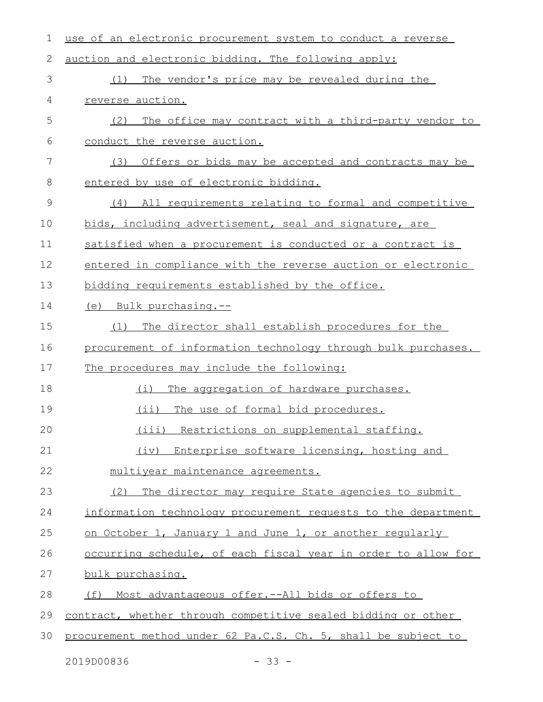| 1             | use of an electronic procurement system to conduct a reverse   |
|---------------|----------------------------------------------------------------|
| 2             | auction and electronic bidding. The following apply:           |
| 3             | The vendor's price may be revealed during the<br>(1)           |
| 4             | reverse auction.                                               |
| 5             | The office may contract with a third-party vendor to<br>(2)    |
| 6             | conduct the reverse auction.                                   |
| 7             | Offers or bids may be accepted and contracts may be<br>(3)     |
| 8             | entered by use of electronic bidding.                          |
| $\mathcal{G}$ | All requirements relating to formal and competitive<br>(4)     |
| 10            | bids, including advertisement, seal and signature, are         |
| 11            | satisfied when a procurement is conducted or a contract is     |
| 12            | entered in compliance with the reverse auction or electronic   |
| 13            | bidding requirements established by the office.                |
| 14            | (e) Bulk purchasing.--                                         |
| 15            | The director shall establish procedures for the<br>(1)         |
| 16            | procurement of information technology through bulk purchases.  |
| 17            | The procedures may include the following:                      |
| 18            | The aggregation of hardware purchases.<br>(i)                  |
| 19            | $(i$ ii)<br>The use of formal bid procedures.                  |
| 20            | (iii) Restrictions on supplemental staffing.                   |
| 21            | (iv) Enterprise software licensing, hosting and                |
| 22            | multiyear maintenance agreements.                              |
| 23            | The director may require State agencies to submit<br>(2)       |
| 24            | information technology procurement requests to the department  |
| 25            | on October 1, January 1 and June 1, or another reqularly       |
| 26            | occurring schedule, of each fiscal year in order to allow for  |
| 27            | bulk purchasing.                                               |
| 28            | <u>Most advantageous offer.--All bids or offers to</u><br>(f)  |
| 29            | contract, whether through competitive sealed bidding or other  |
| 30            | procurement method under 62 Pa.C.S. Ch. 5, shall be subject to |
|               | 2019D00836<br>$-33 -$                                          |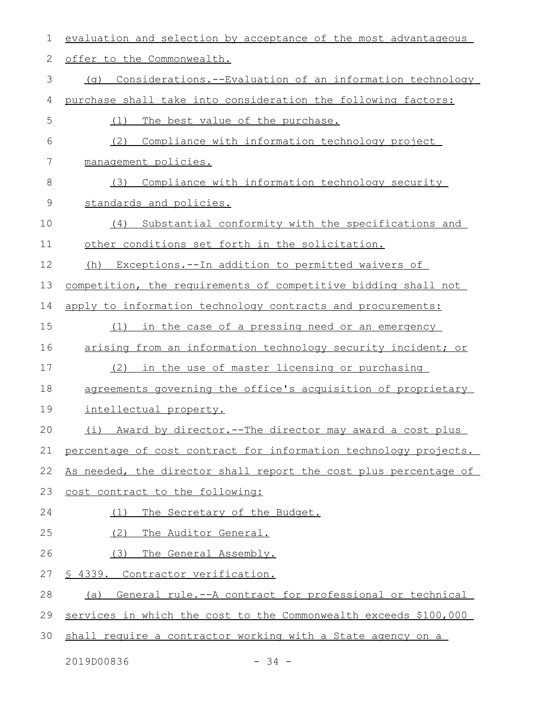| $\mathbf 1$ | evaluation and selection by acceptance of the most advantageous  |
|-------------|------------------------------------------------------------------|
| 2           | offer to the Commonwealth.                                       |
| 3           | Considerations.--Evaluation of an information technology<br>(a)  |
| 4           | purchase shall take into consideration the following factors:    |
| 5           | The best value of the purchase.<br>(1)                           |
| 6           | Compliance with information technology project<br>(2)            |
| 7           | management policies.                                             |
| 8           | Compliance with information technology security<br>(3)           |
| 9           | standards and policies.                                          |
| 10          | Substantial conformity with the specifications and<br>(4)        |
| 11          | other conditions set forth in the solicitation.                  |
| 12          | Exceptions.--In addition to permitted waivers of<br>(h)          |
| 13          | competition, the requirements of competitive bidding shall not   |
| 14          | apply to information technology contracts and procurements:      |
| 15          | in the case of a pressing need or an emergency<br>(1)            |
| 16          | arising from an information technology security incident; or     |
| 17          | (2)<br>in the use of master licensing or purchasing              |
| 18          | agreements governing the office's acquisition of proprietary     |
| 19          | intellectual property.                                           |
| 20          | (i) Award by director.--The director may award a cost plus       |
| 21          | percentage of cost contract for information technology projects. |
| 22          | As needed, the director shall report the cost plus percentage of |
| 23          | cost contract to the following:                                  |
| 24          | The Secretary of the Budget.<br>(1)                              |
| 25          | (2)<br>The Auditor General.                                      |
| 26          | (3)<br>The General Assembly.                                     |
| 27          | <u>S 4339. Contractor verification.</u>                          |
| 28          | General rule.--A contract for professional or technical<br>(a)   |
| 29          | services in which the cost to the Commonwealth exceeds \$100,000 |
| 30          | shall require a contractor working with a State agency on a      |

2019D00836 - 34 -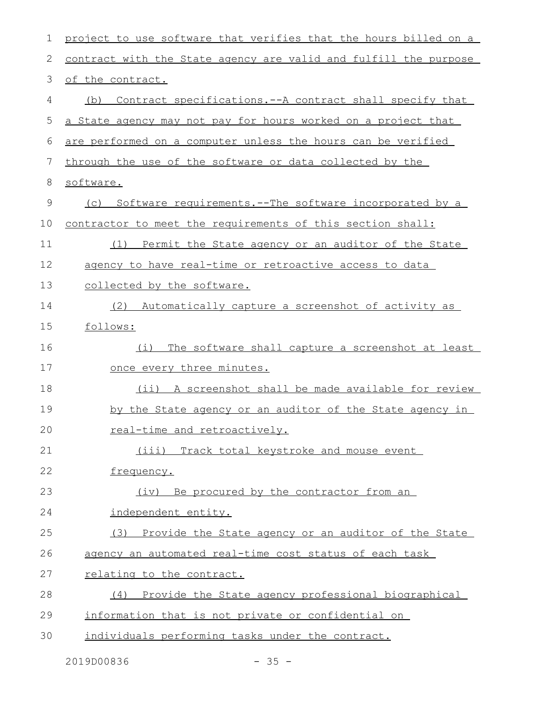| $\mathbf 1$ | project to use software that verifies that the hours billed on a |
|-------------|------------------------------------------------------------------|
| 2           | contract with the State agency are valid and fulfill the purpose |
| 3           | of the contract.                                                 |
| 4           | Contract specifications.--A contract shall specify that<br>(b)   |
| 5           | a State agency may not pay for hours worked on a project that    |
| 6           | are performed on a computer unless the hours can be verified     |
| 7           | through the use of the software or data collected by the         |
| 8           | software.                                                        |
| 9           | (c) Software requirements.--The software incorporated by a       |
| 10          | contractor to meet the requirements of this section shall:       |
| 11          | Permit the State agency or an auditor of the State<br>(1)        |
| 12          | agency to have real-time or retroactive access to data           |
| 13          | collected by the software.                                       |
| 14          | (2)<br>Automatically capture a screenshot of activity as         |
| 15          | follows:                                                         |
| 16          | The software shall capture a screenshot at least<br>(i)          |
| 17          | once every three minutes.                                        |
| 18          | (ii) A screenshot shall be made available for review             |
| 19          | by the State agency or an auditor of the State agency in         |
| 20          | real-time and retroactively.                                     |
| 21          | (iii) Track total keystroke and mouse event                      |
| 22          | frequency.                                                       |
| 23          | (iv) Be procured by the contractor from an                       |
| 24          | independent entity.                                              |
| 25          | (3) Provide the State agency or an auditor of the State          |
| 26          | agency an automated real-time cost status of each task           |
| 27          | relating to the contract.                                        |
| 28          | (4) Provide the State agency professional biographical           |
| 29          | information that is not private or confidential on               |
| 30          | individuals performing tasks under the contract.                 |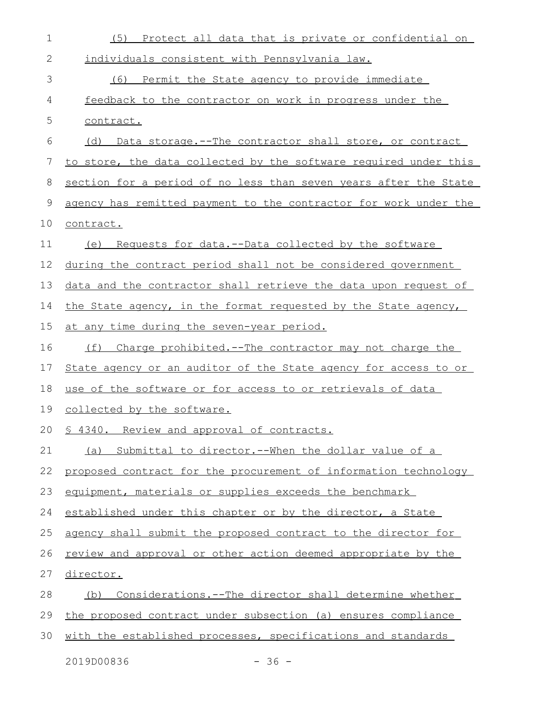| $\mathbf 1$ | (5)<br>Protect all data that is private or confidential on       |
|-------------|------------------------------------------------------------------|
| 2           | individuals consistent with Pennsylvania law.                    |
| 3           | (6)<br>Permit the State agency to provide immediate              |
| 4           | feedback to the contractor on work in progress under the         |
| 5           | contract.                                                        |
| 6           | (d) Data storage.--The contractor shall store, or contract       |
| 7           | to store, the data collected by the software required under this |
| 8           | section for a period of no less than seven years after the State |
| 9           | agency has remitted payment to the contractor for work under the |
| 10          | contract.                                                        |
| 11          | Requests for data.--Data collected by the software<br>(e)        |
| 12          | during the contract period shall not be considered government    |
| 13          | data and the contractor shall retrieve the data upon request of  |
| 14          | the State agency, in the format requested by the State agency,   |
| 15          | at any time during the seven-year period.                        |
| 16          | (f) Charge prohibited.--The contractor may not charge the        |
| 17          | State agency or an auditor of the State agency for access to or  |
| 18          | use of the software or for access to or retrievals of data       |
| 19          | collected by the software.                                       |
|             | 20 § 4340. Review and approval of contracts.                     |
| 21          | (a) Submittal to director.--When the dollar value of a           |
| 22          | proposed contract for the procurement of information technology  |
| 23          | equipment, materials or supplies exceeds the benchmark           |
| 24          | established under this chapter or by the director, a State       |
| 25          | agency shall submit the proposed contract to the director for    |
| 26          | review and approval or other action deemed appropriate by the    |
| 27          | <u>director.</u>                                                 |
| 28          | Considerations.--The director shall determine whether<br>(b)     |
| 29          | the proposed contract under subsection (a) ensures compliance    |
| 30          | with the established processes, specifications and standards     |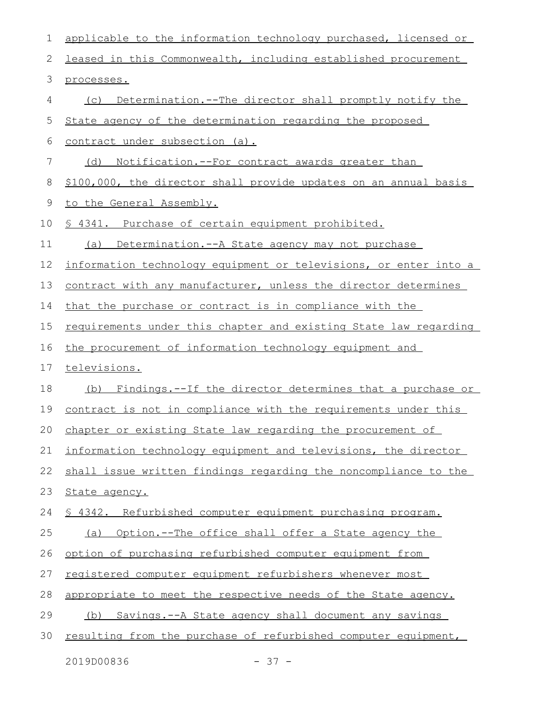| 1               | applicable to the information technology purchased, licensed or  |
|-----------------|------------------------------------------------------------------|
| 2               | leased in this Commonwealth, including established procurement   |
| 3               | processes.                                                       |
| 4               | Determination.--The director shall promptly notify the<br>(C)    |
| 5               | State agency of the determination regarding the proposed         |
| 6               | contract under subsection (a).                                   |
| $7\phantom{.0}$ | (d) Notification.--For contract awards greater than              |
| 8               | \$100,000, the director shall provide updates on an annual basis |
| 9               | to the General Assembly.                                         |
| 10              | § 4341. Purchase of certain equipment prohibited.                |
| 11              | Determination.--A State agency may not purchase<br>(a)           |
| 12              | information technology equipment or televisions, or enter into a |
| 13              | contract with any manufacturer, unless the director determines   |
| 14              | that the purchase or contract is in compliance with the          |
| 15              | requirements under this chapter and existing State law regarding |
| 16              | the procurement of information technology equipment and          |
| 17              | televisions.                                                     |
| 18              | (b) Findings.--If the director determines that a purchase or     |
| 19              | contract is not in compliance with the requirements under this   |
|                 | 20 chapter or existing State law regarding the procurement of    |
| 21              | information technology equipment and televisions, the director   |
| 22              | shall issue written findings regarding the noncompliance to the  |
| 23              | State agency.                                                    |
| 24              | \$ 4342. Refurbished computer equipment purchasing program.      |
| 25              | Option.--The office shall offer a State agency the<br>(a)        |
| 26              | option of purchasing refurbished computer equipment from         |
| 27              | registered computer equipment refurbishers whenever most         |
| 28              | appropriate to meet the respective needs of the State agency.    |
| 29              | Savings.--A State agency shall document any savings<br>(b)       |
| 30              | resulting from the purchase of refurbished computer equipment,   |
|                 |                                                                  |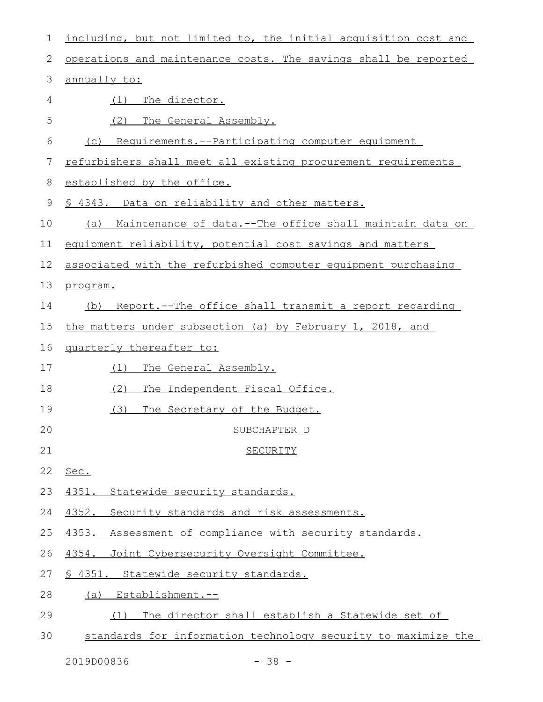| $\mathbf 1$ | including, but not limited to, the initial acquisition cost and |
|-------------|-----------------------------------------------------------------|
| 2           | operations and maintenance costs. The savings shall be reported |
| 3           | annually to:                                                    |
| 4           | The director.<br>(1)                                            |
| 5           | (2)<br>The General Assembly.                                    |
| 6           | (c) Requirements.--Participating computer equipment             |
| 7           | refurbishers shall meet all existing procurement requirements   |
| 8           | established by the office.                                      |
| $\mathsf 9$ | \$ 4343. Data on reliability and other matters.                 |
| 10          | (a) Maintenance of data.--The office shall maintain data on     |
| 11          | equipment reliability, potential cost savings and matters       |
| 12          | associated with the refurbished computer equipment purchasing   |
| 13          | program.                                                        |
| 14          | (b) Report.--The office shall transmit a report regarding       |
| 15          | the matters under subsection (a) by February 1, 2018, and       |
| 16          | quarterly thereafter to:                                        |
| 17          | The General Assembly.<br>(1)                                    |
| 18          | (2)<br>The Independent Fiscal Office.                           |
| 19          | (3)<br>The Secretary of the Budget.                             |
| 20          | SUBCHAPTER D                                                    |
| 21          | <b>SECURITY</b>                                                 |
| 22          | Sec.                                                            |
| 23          | 4351. Statewide security standards.                             |
| 24          | 4352. Security standards and risk assessments.                  |
| 25          | 4353. Assessment of compliance with security standards.         |
| 26          | 4354. Joint Cybersecurity Oversight Committee.                  |
| 27          | § 4351. Statewide security standards.                           |
| 28          | Establishment.--<br>(a)                                         |
| 29          | The director shall establish a Statewide set of<br>(1)          |
| 30          | standards for information technology security to maximize the   |

2019D00836 - 38 -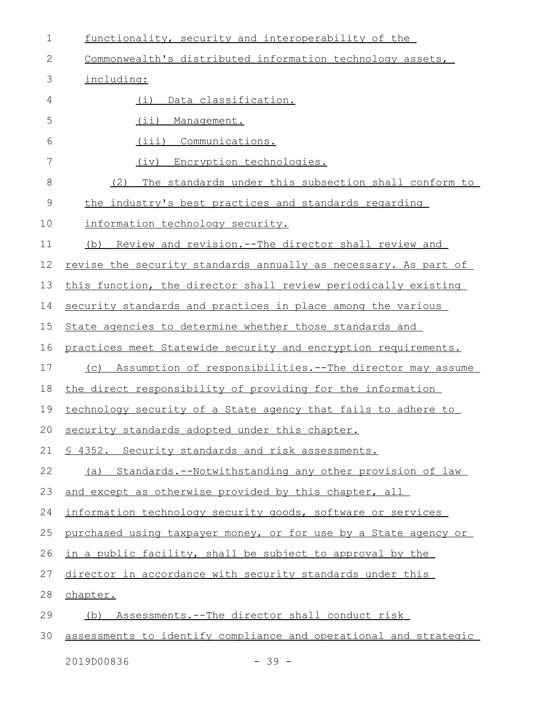| $\mathbf 1$   | functionality, security and interoperability of the              |
|---------------|------------------------------------------------------------------|
| 2             | Commonwealth's distributed information technology assets,        |
| 3             | including:                                                       |
| 4             | Data classification.<br>(i)                                      |
| 5             | (i)<br>Management.                                               |
| 6             | (iii)<br>Communications.                                         |
| 7             | Encryption technologies.<br>(iv)                                 |
| 8             | The standards under this subsection shall conform to<br>(2)      |
| $\mathcal{G}$ | the industry's best practices and standards regarding            |
| 10            | information technology security.                                 |
| 11            | (b) Review and revision.--The director shall review and          |
| 12            | revise the security standards annually as necessary. As part of  |
| 13            | this function, the director shall review periodically existing   |
| 14            | security standards and practices in place among the various      |
| 15            | State agencies to determine whether those standards and          |
| 16            | practices meet Statewide security and encryption requirements.   |
| 17            | (c) Assumption of responsibilities.--The director may assume     |
| 18            | the direct responsibility of providing for the information       |
| 19            | technology security of a State agency that fails to adhere to    |
|               | 20 security standards adopted under this chapter.                |
| 21            | § 4352. Security standards and risk assessments.                 |
| 22            | (a) Standards.--Notwithstanding any other provision of law       |
| 23            | and except as otherwise provided by this chapter, all            |
| 24            | information technology security goods, software or services      |
| 25            | purchased using taxpayer money, or for use by a State agency or  |
| 26            | in a public facility, shall be subject to approval by the        |
| 27            | director in accordance with security standards under this        |
| 28            | chapter.                                                         |
| 29            | (b) Assessments.--The director shall conduct risk                |
| 30            | assessments to identify compliance and operational and strategic |
|               |                                                                  |

2019D00836 - 39 -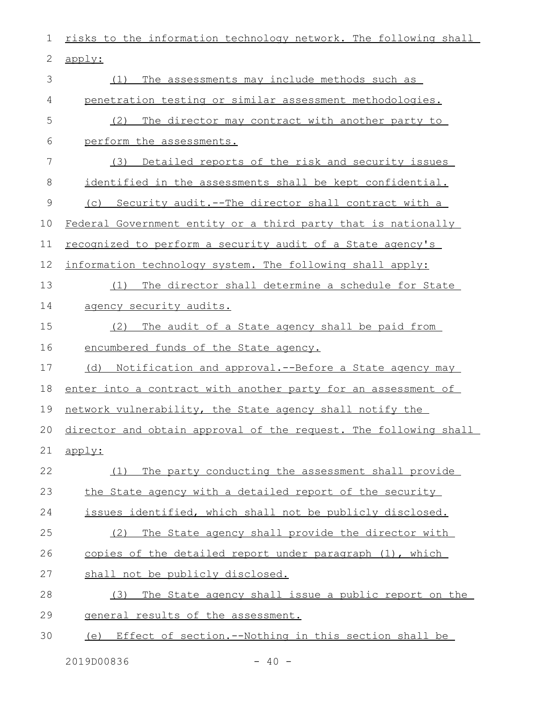risks to the information technology network. The following shall apply: (1) The assessments may include methods such as penetration testing or similar assessment methodologies. (2) The director may contract with another party to perform the assessments. (3) Detailed reports of the risk and security issues identified in the assessments shall be kept confidential. (c) Security audit.--The director shall contract with a Federal Government entity or a third party that is nationally recognized to perform a security audit of a State agency's information technology system. The following shall apply: (1) The director shall determine a schedule for State agency security audits. (2) The audit of a State agency shall be paid from encumbered funds of the State agency. (d) Notification and approval.--Before a State agency may enter into a contract with another party for an assessment of network vulnerability, the State agency shall notify the director and obtain approval of the request. The following shall apply: (1) The party conducting the assessment shall provide the State agency with a detailed report of the security issues identified, which shall not be publicly disclosed. (2) The State agency shall provide the director with copies of the detailed report under paragraph (1), which shall not be publicly disclosed. (3) The State agency shall issue a public report on the general results of the assessment. (e) Effect of section.--Nothing in this section shall be 1 2 3 4 5 6 7 8 9 10 11 12 13 14 15 16 17 18 19 20 21 22 23 24 25 26 27 28 29 30

 $2019D00836$   $-40$   $-$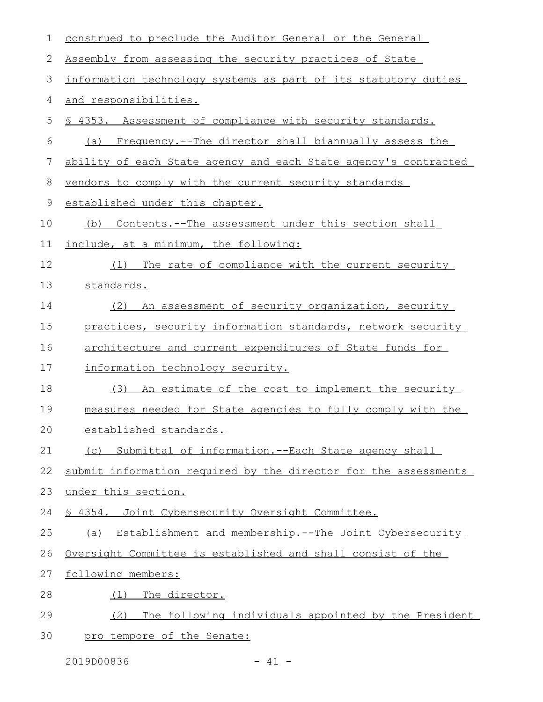| $\mathbf 1$ | construed to preclude the Auditor General or the General        |
|-------------|-----------------------------------------------------------------|
| 2           | Assembly from assessing the security practices of State         |
| 3           | information technology systems as part of its statutory duties  |
| 4           | and responsibilities.                                           |
| 5           | \$ 4353. Assessment of compliance with security standards.      |
| 6           | (a) Frequency.--The director shall biannually assess the        |
| 7           | ability of each State agency and each State agency's contracted |
| 8           | vendors to comply with the current security standards           |
| 9           | established under this chapter.                                 |
| 10          | Contents. -- The assessment under this section shall<br>(b)     |
| 11          | include, at a minimum, the following:                           |
| 12          | The rate of compliance with the current security<br>(1)         |
| 13          | standards.                                                      |
| 14          | (2) An assessment of security organization, security            |
| 15          | practices, security information standards, network security     |
| 16          | architecture and current expenditures of State funds for        |
| 17          | information technology security.                                |
| 18          | (3) An estimate of the cost to implement the security           |
| 19          | measures needed for State agencies to fully comply with the     |
| 20          | established standards.                                          |
| 21          | (c) Submittal of information.--Each State agency shall          |
| 22          | submit information required by the director for the assessments |
| 23          | under this section.                                             |
| 24          | \$ 4354. Joint Cybersecurity Oversight Committee.               |
| 25          | (a) Establishment and membership.--The Joint Cybersecurity      |
| 26          | Oversight Committee is established and shall consist of the     |
| 27          | following members:                                              |
| 28          | The director.<br>(1)                                            |
| 29          | The following individuals appointed by the President<br>(2)     |
| 30          | pro tempore of the Senate:                                      |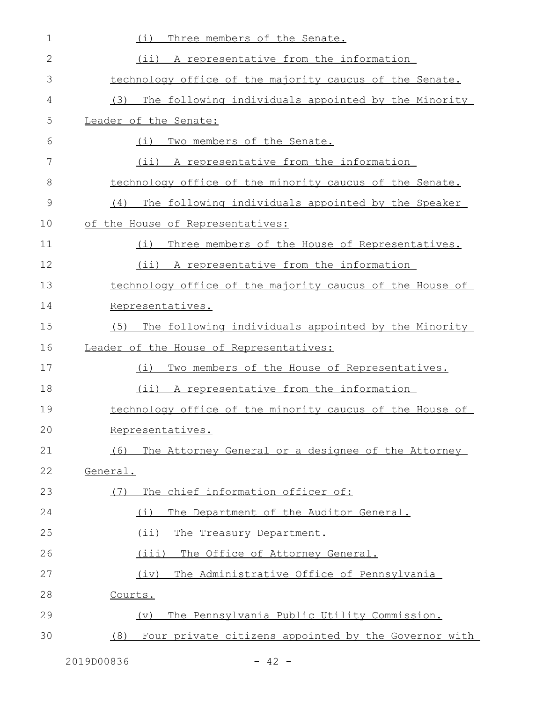| $\mathbf 1$ | Three members of the Senate.<br>(i)                        |
|-------------|------------------------------------------------------------|
| 2           | (ii) A representative from the information                 |
| 3           | technology office of the majority caucus of the Senate.    |
| 4           | (3) The following individuals appointed by the Minority    |
| 5           | Leader of the Senate:                                      |
| 6           | Two members of the Senate.<br>(i)                          |
| 7           | (ii) A representative from the information                 |
| 8           | technology office of the minority caucus of the Senate.    |
| 9           | The following individuals appointed by the Speaker<br>(4)  |
| 10          | of the House of Representatives:                           |
| 11          | Three members of the House of Representatives.<br>(i)      |
| 12          | (ii) A representative from the information                 |
| 13          | technology office of the majority caucus of the House of   |
| 14          | Representatives.                                           |
| 15          | The following individuals appointed by the Minority<br>(5) |
| 16          | Leader of the House of Representatives:                    |
| 17          | Two members of the House of Representatives.<br>(i)        |
| 18          | (ii) A representative from the information                 |
| 19          | technology office of the minority caucus of the House of   |
| 20          | Representatives.                                           |
| 21          | (6) The Attorney General or a designee of the Attorney     |
| 22          | General.                                                   |
| 23          | The chief information officer of:<br>(7)                   |
| 24          | The Department of the Auditor General.<br>(i)              |
| 25          | $(i$ ii)<br>The Treasury Department.                       |
| 26          | (iii)<br>The Office of Attorney General.                   |
| 27          | The Administrative Office of Pennsylvania<br>(iv)          |
| 28          | Courts.                                                    |
| 29          | The Pennsylvania Public Utility Commission.<br>$(\nabla)$  |
|             |                                                            |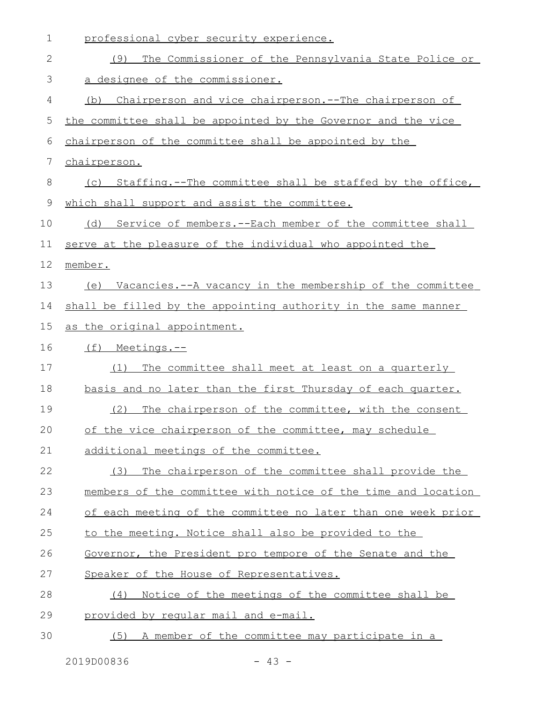| $\mathbf 1$ | professional cyber security experience.                        |
|-------------|----------------------------------------------------------------|
| 2           | The Commissioner of the Pennsylvania State Police or<br>(9)    |
| 3           | a designee of the commissioner.                                |
| 4           | (b) Chairperson and vice chairperson.--The chairperson of      |
| 5           | the committee shall be appointed by the Governor and the vice  |
| 6           | chairperson of the committee shall be appointed by the         |
| 7           | chairperson.                                                   |
| 8           | (c) Staffing.--The committee shall be staffed by the office,   |
| 9           | which shall support and assist the committee.                  |
| 10          | (d) Service of members.--Each member of the committee shall    |
| 11          | serve at the pleasure of the individual who appointed the      |
| 12          | member.                                                        |
| 13          | (e) Vacancies.--A vacancy in the membership of the committee   |
| 14          | shall be filled by the appointing authority in the same manner |
| 15          | as the original appointment.                                   |
| 16          | (f) Meetings.--                                                |
| 17          | The committee shall meet at least on a quarterly<br>(1)        |
| 18          | basis and no later than the first Thursday of each quarter.    |
| 19          | The chairperson of the committee, with the consent<br>(2)      |
| 20          | of the vice chairperson of the committee, may schedule         |
| 21          | additional meetings of the committee.                          |
| 22          | The chairperson of the committee shall provide the<br>(3)      |
| 23          | members of the committee with notice of the time and location  |
| 24          | of each meeting of the committee no later than one week prior  |
| 25          | to the meeting. Notice shall also be provided to the           |
| 26          | Governor, the President pro tempore of the Senate and the      |
| 27          | Speaker of the House of Representatives.                       |
| 28          | Notice of the meetings of the committee shall be<br>(4)        |
| 29          | provided by reqular mail and e-mail.                           |
| 30          | (5) A member of the committee may participate in a             |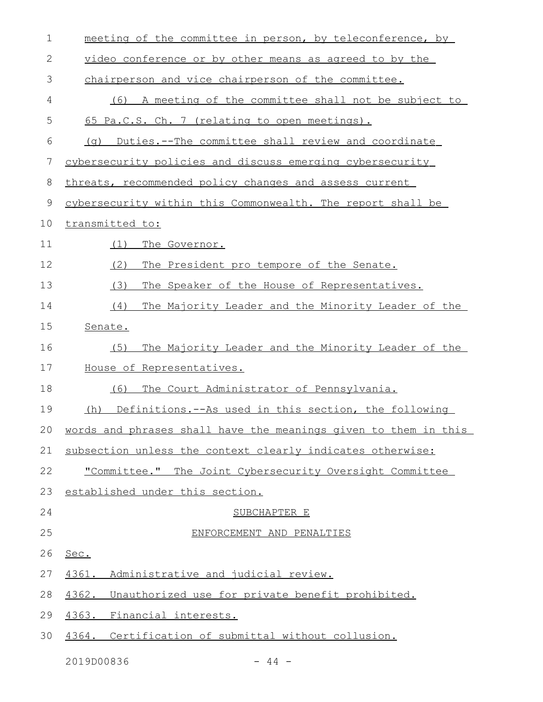| $\mathbf 1$  | meeting of the committee in person, by teleconference, by       |
|--------------|-----------------------------------------------------------------|
| $\mathbf{2}$ | video conference or by other means as agreed to by the          |
| 3            | chairperson and vice chairperson of the committee.              |
| 4            | A meeting of the committee shall not be subject to<br>(6)       |
| 5            | 65 Pa.C.S. Ch. 7 (relating to open meetings).                   |
| 6            | Duties.--The committee shall review and coordinate<br>( ျ)      |
| 7            | cybersecurity policies and discuss emerging cybersecurity       |
| 8            | threats, recommended policy changes and assess current          |
| $\mathsf 9$  | cybersecurity within this Commonwealth. The report shall be     |
| 10           | transmitted to:                                                 |
| 11           | The Governor.<br>(1)                                            |
| 12           | (2)<br>The President pro tempore of the Senate.                 |
| 13           | (3)<br>The Speaker of the House of Representatives.             |
| 14           | The Majority Leader and the Minority Leader of the<br>(4)       |
| 15           | Senate.                                                         |
| 16           | The Majority Leader and the Minority Leader of the<br>(5)       |
| 17           | House of Representatives.                                       |
| 18           | The Court Administrator of Pennsylvania.<br>(6)                 |
| 19           | (h) Definitions.--As used in this section, the following        |
| 20           | words and phrases shall have the meanings given to them in this |
| 21           | subsection unless the context clearly indicates otherwise:      |
| 22           | "Committee." The Joint Cybersecurity Oversight Committee        |
| 23           | established under this section.                                 |
| 24           | SUBCHAPTER E                                                    |
| 25           | ENFORCEMENT AND PENALTIES                                       |
| 26           | Sec.                                                            |
| 27           | 4361.<br>Administrative and judicial review.                    |
| 28           | 4362.<br>Unauthorized use for private benefit prohibited.       |
| 29           | 4363.<br>Financial interests.                                   |
| 30           | 4364. Certification of submittal without collusion.             |
|              |                                                                 |

2019D00836 - 44 -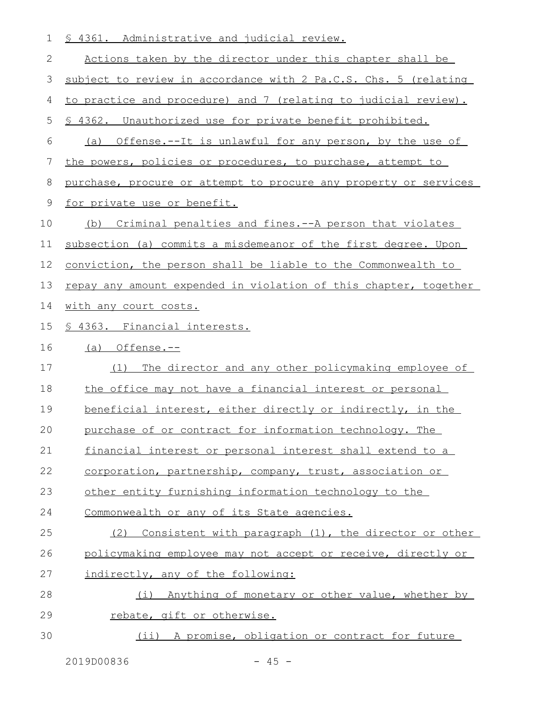| 1  | <u>S 4361. Administrative and judicial review.</u>               |
|----|------------------------------------------------------------------|
| 2  | Actions taken by the director under this chapter shall be        |
| 3  | subject to review in accordance with 2 Pa.C.S. Chs. 5 (relating  |
| 4  | to practice and procedure) and 7 (relating to judicial review).  |
| 5  | \$ 4362. Unauthorized use for private benefit prohibited.        |
| 6  | (a) Offense.--It is unlawful for any person, by the use of       |
| 7  | the powers, policies or procedures, to purchase, attempt to      |
| 8  | purchase, procure or attempt to procure any property or services |
| 9  | for private use or benefit.                                      |
| 10 | Criminal penalties and fines. -- A person that violates<br>(b)   |
| 11 | subsection (a) commits a misdemeanor of the first degree. Upon   |
| 12 | conviction, the person shall be liable to the Commonwealth to    |
| 13 | repay any amount expended in violation of this chapter, together |
| 14 | with any court costs.                                            |
| 15 | § 4363. Financial interests.                                     |
| 16 | $(a)$ Offense.--                                                 |
| 17 | The director and any other policymaking employee of<br>(1)       |
| 18 | the office may not have a financial interest or personal         |
| 19 | beneficial interest, either directly or indirectly, in the       |
| 20 | purchase of or contract for information technology. The          |
| 21 | financial interest or personal interest shall extend to a        |
| 22 | corporation, partnership, company, trust, association or         |
| 23 | other entity furnishing information technology to the            |
| 24 | Commonwealth or any of its State agencies.                       |
| 25 | (2) Consistent with paragraph (1), the director or other         |
| 26 | policymaking employee may not accept or receive, directly or     |
| 27 | indirectly, any of the following:                                |
| 28 | (i) Anything of monetary or other value, whether by              |
| 29 | rebate, gift or otherwise.                                       |

(ii) A promise, obligation or contract for future 30